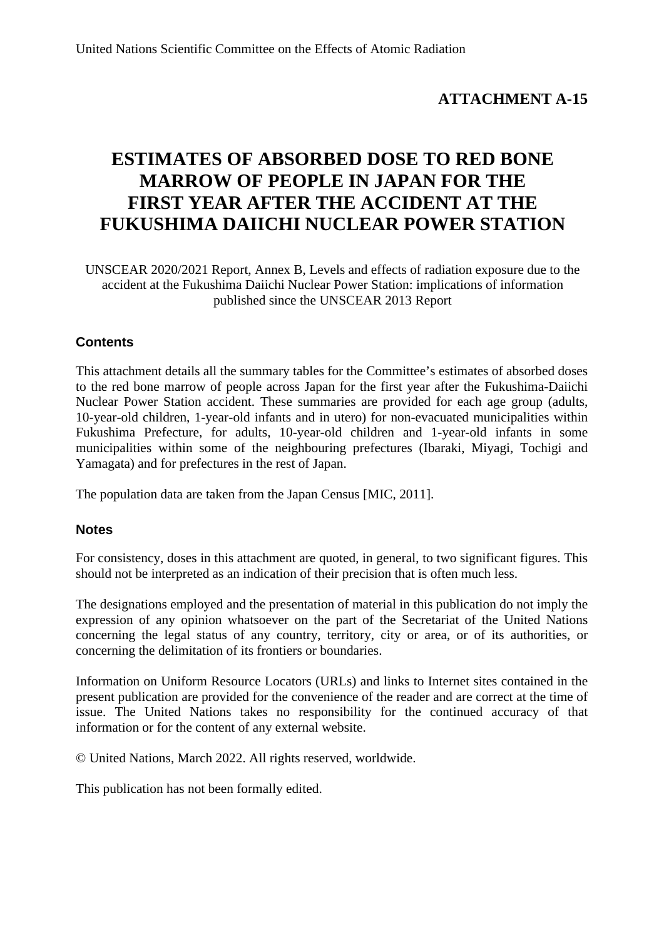## **ATTACHMENT A-15**

# **ESTIMATES OF ABSORBED DOSE TO RED BONE MARROW OF PEOPLE IN JAPAN FOR THE FIRST YEAR AFTER THE ACCIDENT AT THE FUKUSHIMA DAIICHI NUCLEAR POWER STATION**

UNSCEAR 2020/2021 Report, Annex B, Levels and effects of radiation exposure due to the accident at the Fukushima Daiichi Nuclear Power Station: implications of information published since the UNSCEAR 2013 Report

## **Contents**

This attachment details all the summary tables for the Committee's estimates of absorbed doses to the red bone marrow of people across Japan for the first year after the Fukushima-Daiichi Nuclear Power Station accident. These summaries are provided for each age group (adults, 10-year-old children, 1-year-old infants and in utero) for non-evacuated municipalities within Fukushima Prefecture, for adults, 10-year-old children and 1-year-old infants in some municipalities within some of the neighbouring prefectures (Ibaraki, Miyagi, Tochigi and Yamagata) and for prefectures in the rest of Japan.

The population data are taken from the Japan Census [MIC, 2011].

### **Notes**

For consistency, doses in this attachment are quoted, in general, to two significant figures. This should not be interpreted as an indication of their precision that is often much less.

The designations employed and the presentation of material in this publication do not imply the expression of any opinion whatsoever on the part of the Secretariat of the United Nations concerning the legal status of any country, territory, city or area, or of its authorities, or concerning the delimitation of its frontiers or boundaries.

Information on Uniform Resource Locators (URLs) and links to Internet sites contained in the present publication are provided for the convenience of the reader and are correct at the time of issue. The United Nations takes no responsibility for the continued accuracy of that information or for the content of any external website.

© United Nations, March 2022. All rights reserved, worldwide.

This publication has not been formally edited.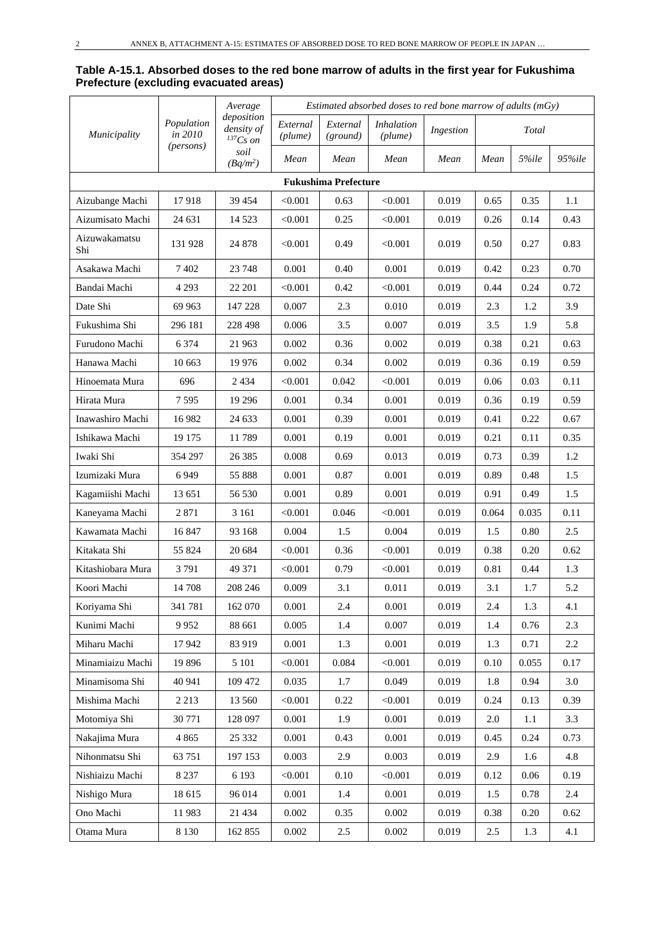#### **Table A-15.1. Absorbed doses to the red bone marrow of adults in the first year for Fukushima Prefecture (excluding evacuated areas)**

|                      |                       | Average                                     |                     |                             |                              |           | Estimated absorbed doses to red bone marrow of adults (mGy) |       |         |  |
|----------------------|-----------------------|---------------------------------------------|---------------------|-----------------------------|------------------------------|-----------|-------------------------------------------------------------|-------|---------|--|
| Municipality         | Population<br>in 2010 | deposition<br>density of<br>${}^{137}Cs$ on | External<br>(plume) | External<br>(ground)        | <i>Inhalation</i><br>(plume) | Ingestion |                                                             | Total |         |  |
|                      | (persons)             | soil<br>$(Bq/m^2)$                          | Mean                | Mean                        | Mean                         | Mean      | Mean                                                        | 5%ile | 95%ile  |  |
|                      |                       |                                             |                     | <b>Fukushima Prefecture</b> |                              |           |                                                             |       |         |  |
| Aizubange Machi      | 17918                 | 39 454                                      | < 0.001             | 0.63                        | < 0.001                      | 0.019     | 0.65                                                        | 0.35  | 1.1     |  |
| Aizumisato Machi     | 24 631                | 14 5 23                                     | < 0.001             | 0.25                        | < 0.001                      | 0.019     | 0.26                                                        | 0.14  | 0.43    |  |
| Aizuwakamatsu<br>Shi | 131 928               | 24 878                                      | < 0.001             | 0.49                        | < 0.001                      | 0.019     | 0.50                                                        | 0.27  | 0.83    |  |
| Asakawa Machi        | 7402                  | 23 748                                      | 0.001               | 0.40                        | 0.001                        | 0.019     | 0.42                                                        | 0.23  | 0.70    |  |
| Bandai Machi         | 4 2 9 3               | 22 201                                      | < 0.001             | 0.42                        | < 0.001                      | 0.019     | 0.44                                                        | 0.24  | 0.72    |  |
| Date Shi             | 69 963                | 147 228                                     | 0.007               | 2.3                         | 0.010                        | 0.019     | 2.3                                                         | 1.2   | 3.9     |  |
| Fukushima Shi        | 296 181               | 228 498                                     | 0.006               | 3.5                         | 0.007                        | 0.019     | 3.5                                                         | 1.9   | 5.8     |  |
| Furudono Machi       | 6 3 7 4               | 21 963                                      | 0.002               | 0.36                        | 0.002                        | 0.019     | 0.38                                                        | 0.21  | 0.63    |  |
| Hanawa Machi         | 10 663                | 19 9 76                                     | 0.002               | 0.34                        | 0.002                        | 0.019     | 0.36                                                        | 0.19  | 0.59    |  |
| Hinoemata Mura       | 696                   | 2 4 3 4                                     | < 0.001             | 0.042                       | < 0.001                      | 0.019     | 0.06                                                        | 0.03  | 0.11    |  |
| Hirata Mura          | 7595                  | 19 29 6                                     | 0.001               | 0.34                        | 0.001                        | 0.019     | 0.36                                                        | 0.19  | 0.59    |  |
| Inawashiro Machi     | 16 982                | 24 633                                      | 0.001               | 0.39                        | 0.001                        | 0.019     | 0.41                                                        | 0.22  | 0.67    |  |
| Ishikawa Machi       | 19 175                | 11789                                       | 0.001               | 0.19                        | 0.001                        | 0.019     | 0.21                                                        | 0.11  | 0.35    |  |
| Iwaki Shi            | 354 297               | 26 3 8 5                                    | 0.008               | 0.69                        | 0.013                        | 0.019     | 0.73                                                        | 0.39  | 1.2     |  |
| Izumizaki Mura       | 6949                  | 55 888                                      | 0.001               | 0.87                        | 0.001                        | 0.019     | 0.89                                                        | 0.48  | 1.5     |  |
| Kagamiishi Machi     | 13 651                | 56 530                                      | 0.001               | 0.89                        | 0.001                        | 0.019     | 0.91                                                        | 0.49  | 1.5     |  |
| Kaneyama Machi       | 2871                  | 3 1 6 1                                     | < 0.001             | 0.046                       | < 0.001                      | 0.019     | 0.064                                                       | 0.035 | 0.11    |  |
| Kawamata Machi       | 16847                 | 93 168                                      | 0.004               | 1.5                         | 0.004                        | 0.019     | 1.5                                                         | 0.80  | 2.5     |  |
| Kitakata Shi         | 55 824                | 20 684                                      | < 0.001             | 0.36                        | < 0.001                      | 0.019     | 0.38                                                        | 0.20  | 0.62    |  |
| Kitashiobara Mura    | 3791                  | 49 371                                      | < 0.001             | 0.79                        | < 0.001                      | 0.019     | 0.81                                                        | 0.44  | 1.3     |  |
| Koori Machi          | 14 708                | 208 246                                     | 0.009               | 3.1                         | 0.011                        | 0.019     | 3.1                                                         | 1.7   | 5.2     |  |
| Koriyama Shi         | 341 781               | 162 070                                     | 0.001               | 2.4                         | 0.001                        | 0.019     | 2.4                                                         | 1.3   | 4.1     |  |
| Kunimi Machi         | 9952                  | 88 661                                      | 0.005               | 1.4                         | 0.007                        | 0.019     | 1.4                                                         | 0.76  | 2.3     |  |
| Miharu Machi         | 17942                 | 83 919                                      | 0.001               | 1.3                         | 0.001                        | 0.019     | 1.3                                                         | 0.71  | 2.2     |  |
| Minamiaizu Machi     | 19896                 | 5 1 0 1                                     | < 0.001             | 0.084                       | < 0.001                      | 0.019     | 0.10                                                        | 0.055 | 0.17    |  |
| Minamisoma Shi       | 40 941                | 109 472                                     | 0.035               | 1.7                         | 0.049                        | 0.019     | 1.8                                                         | 0.94  | $3.0\,$ |  |
| Mishima Machi        | 2 2 1 3               | 13 560                                      | < 0.001             | 0.22                        | < 0.001                      | 0.019     | 0.24                                                        | 0.13  | 0.39    |  |
| Motomiya Shi         | 30 771                | 128 097                                     | 0.001               | 1.9                         | 0.001                        | 0.019     | 2.0                                                         | 1.1   | 3.3     |  |
| Nakajima Mura        | 4 8 6 5               | 25 332                                      | 0.001               | 0.43                        | 0.001                        | 0.019     | 0.45                                                        | 0.24  | 0.73    |  |
| Nihonmatsu Shi       | 63 751                | 197 153                                     | 0.003               | 2.9                         | 0.003                        | 0.019     | 2.9                                                         | 1.6   | 4.8     |  |
| Nishiaizu Machi      | 8 2 3 7               | 6 1 9 3                                     | < 0.001             | $0.10\,$                    | < 0.001                      | 0.019     | 0.12                                                        | 0.06  | 0.19    |  |
| Nishigo Mura         | 18 615                | 96 014                                      | 0.001               | 1.4                         | 0.001                        | 0.019     | 1.5                                                         | 0.78  | 2.4     |  |
| Ono Machi            | 11983                 | 21 4 34                                     | 0.002               | 0.35                        | 0.002                        | 0.019     | 0.38                                                        | 0.20  | 0.62    |  |
| Otama Mura           | 8 1 3 0               | 162 855                                     | 0.002               | $2.5\,$                     | 0.002                        | 0.019     | 2.5                                                         | 1.3   | 4.1     |  |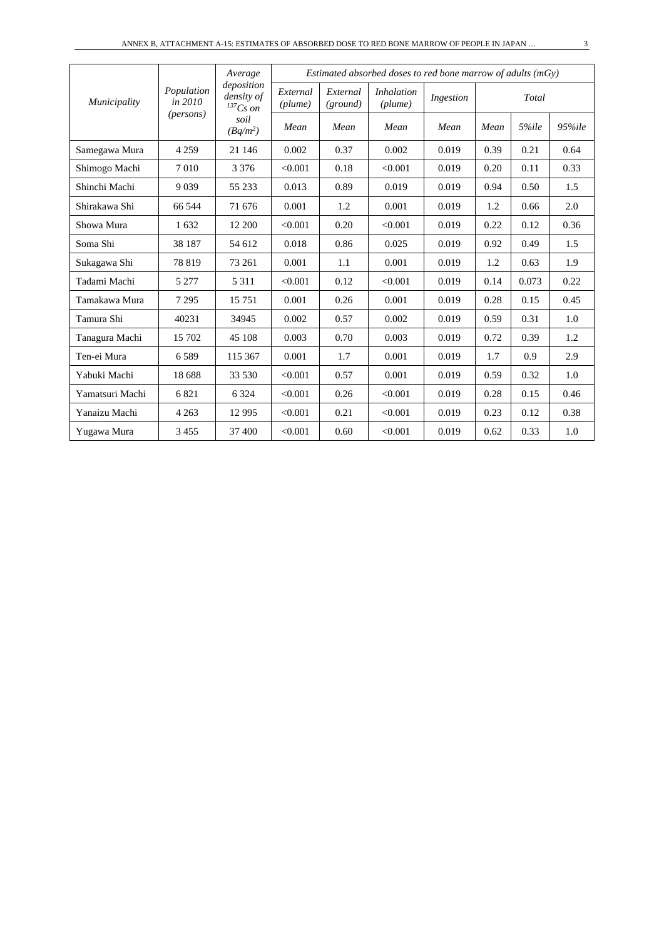|                 |                       | Average<br>deposition         |                     |                      | Estimated absorbed doses to red bone marrow of adults $(mGy)$ |           |      |       |        |
|-----------------|-----------------------|-------------------------------|---------------------|----------------------|---------------------------------------------------------------|-----------|------|-------|--------|
| Municipality    | Population<br>in 2010 | density of<br>${}^{137}Cs$ on | External<br>(plume) | External<br>(ground) | <i>Inhalation</i><br>(plume)                                  | Ingestion |      | Total |        |
|                 | ( <i>persons</i> )    | soil<br>$(Bq/m^2)$            | Mean                | Mean                 | Mean                                                          | Mean      | Mean | 5%ile | 95%ile |
| Samegawa Mura   | 4 2 5 9               | 21 14 6                       | 0.002               | 0.37                 | 0.002                                                         | 0.019     | 0.39 | 0.21  | 0.64   |
| Shimogo Machi   | 7010                  | 3 3 7 6                       | < 0.001             | 0.18                 | < 0.001                                                       | 0.019     | 0.20 | 0.11  | 0.33   |
| Shinchi Machi   | 9 0 3 9               | 55 233                        | 0.013               | 0.89                 | 0.019                                                         | 0.019     | 0.94 | 0.50  | 1.5    |
| Shirakawa Shi   | 66 544                | 71 676                        | 0.001               | 1.2                  | 0.001                                                         | 0.019     | 1.2  | 0.66  | 2.0    |
| Showa Mura      | 1632                  | 12 200                        | < 0.001             | 0.20                 | < 0.001                                                       | 0.019     | 0.22 | 0.12  | 0.36   |
| Soma Shi        | 38 187                | 54 612                        | 0.018               | 0.86                 | 0.025                                                         | 0.019     | 0.92 | 0.49  | 1.5    |
| Sukagawa Shi    | 78 819                | 73 261                        | 0.001               | 1.1                  | 0.001                                                         | 0.019     | 1.2  | 0.63  | 1.9    |
| Tadami Machi    | 5 2 7 7               | 5 3 1 1                       | < 0.001             | 0.12                 | < 0.001                                                       | 0.019     | 0.14 | 0.073 | 0.22   |
| Tamakawa Mura   | 7 2 9 5               | 15751                         | 0.001               | 0.26                 | 0.001                                                         | 0.019     | 0.28 | 0.15  | 0.45   |
| Tamura Shi      | 40231                 | 34945                         | 0.002               | 0.57                 | 0.002                                                         | 0.019     | 0.59 | 0.31  | 1.0    |
| Tanagura Machi  | 15 702                | 45 108                        | 0.003               | 0.70                 | 0.003                                                         | 0.019     | 0.72 | 0.39  | 1.2    |
| Ten-ei Mura     | 6589                  | 115 367                       | 0.001               | 1.7                  | 0.001                                                         | 0.019     | 1.7  | 0.9   | 2.9    |
| Yabuki Machi    | 18 688                | 33 530                        | < 0.001             | 0.57                 | 0.001                                                         | 0.019     | 0.59 | 0.32  | 1.0    |
| Yamatsuri Machi | 6821                  | 6 3 2 4                       | < 0.001             | 0.26                 | < 0.001                                                       | 0.019     | 0.28 | 0.15  | 0.46   |
| Yanaizu Machi   | 4 2 6 3               | 12 9 95                       | < 0.001             | 0.21                 | < 0.001                                                       | 0.019     | 0.23 | 0.12  | 0.38   |
| Yugawa Mura     | 3455                  | 37 400                        | < 0.001             | 0.60                 | < 0.001                                                       | 0.019     | 0.62 | 0.33  | 1.0    |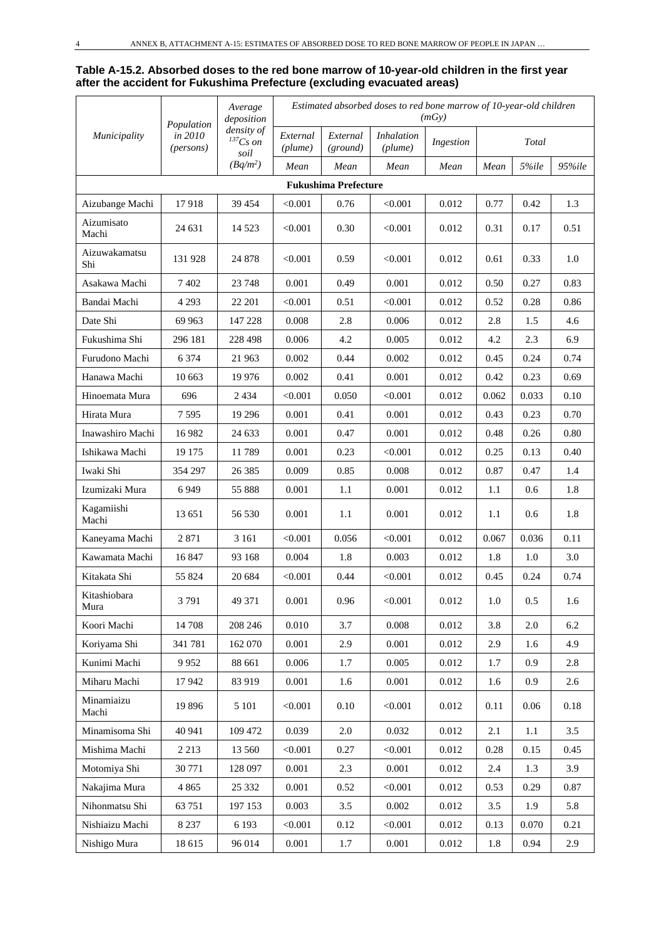#### **Table A-15.2. Absorbed doses to the red bone marrow of 10-year-old children in the first year after the accident for Fukushima Prefecture (excluding evacuated areas)**

|                      | Population           | Average<br>deposition               |                     |                             |                              | (mGv)     |       | Estimated absorbed doses to red bone marrow of 10-year-old children |        |  |  |
|----------------------|----------------------|-------------------------------------|---------------------|-----------------------------|------------------------------|-----------|-------|---------------------------------------------------------------------|--------|--|--|
| Municipality         | in 2010<br>(persons) | density of<br>$^{137}Cs$ on<br>soil | External<br>(plume) | External<br>(ground)        | <b>Inhalation</b><br>(plume) | Ingestion |       | Total                                                               |        |  |  |
|                      |                      | $(Bq/m^2)$                          | Mean                | Mean                        | Mean                         | Mean      | Mean  | 5%ile                                                               | 95%ile |  |  |
|                      |                      |                                     |                     | <b>Fukushima Prefecture</b> |                              |           |       |                                                                     |        |  |  |
| Aizubange Machi      | 17918                | 39 454                              | < 0.001             | 0.76                        | < 0.001                      | 0.012     | 0.77  | 0.42                                                                | 1.3    |  |  |
| Aizumisato<br>Machi  | 24 631               | 14 5 23                             | < 0.001             | 0.30                        | < 0.001                      | 0.012     | 0.31  | 0.17                                                                | 0.51   |  |  |
| Aizuwakamatsu<br>Shi | 131 928              | 24 878                              | < 0.001             | 0.59                        | < 0.001                      | 0.012     | 0.61  | 0.33                                                                | 1.0    |  |  |
| Asakawa Machi        | 7402                 | 23 748                              | 0.001               | 0.49                        | 0.001                        | 0.012     | 0.50  | 0.27                                                                | 0.83   |  |  |
| Bandai Machi         | 4 2 9 3              | 22 201                              | $<\!\!0.001$        | 0.51                        | < 0.001                      | 0.012     | 0.52  | 0.28                                                                | 0.86   |  |  |
| Date Shi             | 69 963               | 147 228                             | 0.008               | 2.8                         | 0.006                        | 0.012     | 2.8   | 1.5                                                                 | 4.6    |  |  |
| Fukushima Shi        | 296 181              | 228 498                             | 0.006               | 4.2                         | 0.005                        | 0.012     | 4.2   | 2.3                                                                 | 6.9    |  |  |
| Furudono Machi       | 6 3 7 4              | 21 963                              | 0.002               | 0.44                        | 0.002                        | 0.012     | 0.45  | 0.24                                                                | 0.74   |  |  |
| Hanawa Machi         | 10 663               | 19 9 76                             | 0.002               | 0.41                        | 0.001                        | 0.012     | 0.42  | 0.23                                                                | 0.69   |  |  |
| Hinoemata Mura       | 696                  | 2 4 3 4                             | $<\!\!0.001$        | 0.050                       | < 0.001                      | 0.012     | 0.062 | 0.033                                                               | 0.10   |  |  |
| Hirata Mura          | 7595                 | 19 29 6                             | 0.001               | 0.41                        | 0.001                        | 0.012     | 0.43  | 0.23                                                                | 0.70   |  |  |
| Inawashiro Machi     | 16 982               | 24 633                              | 0.001               | 0.47                        | 0.001                        | 0.012     | 0.48  | 0.26                                                                | 0.80   |  |  |
| Ishikawa Machi       | 19 175               | 11789                               | 0.001               | 0.23                        | < 0.001                      | 0.012     | 0.25  | 0.13                                                                | 0.40   |  |  |
| Iwaki Shi            | 354 297              | 26 3 8 5                            | 0.009               | 0.85                        | 0.008                        | 0.012     | 0.87  | 0.47                                                                | 1.4    |  |  |
| Izumizaki Mura       | 6949                 | 55 888                              | 0.001               | 1.1                         | 0.001                        | 0.012     | 1.1   | 0.6                                                                 | 1.8    |  |  |
| Kagamiishi<br>Machi  | 13 651               | 56 530                              | 0.001               | 1.1                         | 0.001                        | 0.012     | 1.1   | 0.6                                                                 | 1.8    |  |  |
| Kaneyama Machi       | 2871                 | 3 1 6 1                             | < 0.001             | 0.056                       | < 0.001                      | 0.012     | 0.067 | 0.036                                                               | 0.11   |  |  |
| Kawamata Machi       | 16847                | 93 168                              | 0.004               | 1.8                         | 0.003                        | 0.012     | 1.8   | 1.0                                                                 | 3.0    |  |  |
| Kitakata Shi         | 55 824               | 20 684                              | $<\!\!0.001$        | 0.44                        | $<\!\!0.001$                 | 0.012     | 0.45  | 0.24                                                                | 0.74   |  |  |
| Kitashiobara<br>Mura | 3791                 | 49 371                              | 0.001               | 0.96                        | < 0.001                      | 0.012     | 1.0   | 0.5                                                                 | 1.6    |  |  |
| Koori Machi          | 14 708               | 208 246                             | 0.010               | 3.7                         | 0.008                        | 0.012     | 3.8   | 2.0                                                                 | 6.2    |  |  |
| Koriyama Shi         | 341 781              | 162 070                             | 0.001               | 2.9                         | 0.001                        | 0.012     | 2.9   | 1.6                                                                 | 4.9    |  |  |
| Kunimi Machi         | 9952                 | 88 661                              | 0.006               | 1.7                         | 0.005                        | 0.012     | 1.7   | 0.9                                                                 | 2.8    |  |  |
| Miharu Machi         | 17942                | 83 919                              | 0.001               | 1.6                         | 0.001                        | 0.012     | 1.6   | 0.9                                                                 | 2.6    |  |  |
| Minamiaizu<br>Machi  | 19896                | 5 1 0 1                             | < 0.001             | 0.10                        | < 0.001                      | 0.012     | 0.11  | 0.06                                                                | 0.18   |  |  |
| Minamisoma Shi       | 40 941               | 109 472                             | 0.039               | $2.0\,$                     | 0.032                        | 0.012     | 2.1   | 1.1                                                                 | 3.5    |  |  |
| Mishima Machi        | 2 2 1 3              | 13 560                              | < 0.001             | 0.27                        | < 0.001                      | 0.012     | 0.28  | 0.15                                                                | 0.45   |  |  |
| Motomiya Shi         | 30 771               | 128 097                             | 0.001               | 2.3                         | 0.001                        | 0.012     | 2.4   | 1.3                                                                 | 3.9    |  |  |
| Nakajima Mura        | 4 8 6 5              | 25 332                              | 0.001               | 0.52                        | < 0.001                      | 0.012     | 0.53  | 0.29                                                                | 0.87   |  |  |
| Nihonmatsu Shi       | 63 751               | 197 153                             | 0.003               | 3.5                         | 0.002                        | 0.012     | 3.5   | 1.9                                                                 | 5.8    |  |  |
| Nishiaizu Machi      | 8 2 3 7              | 6 1 9 3                             | < 0.001             | 0.12                        | < 0.001                      | 0.012     | 0.13  | 0.070                                                               | 0.21   |  |  |
| Nishigo Mura         | 18 615               | 96 014                              | 0.001               | 1.7                         | 0.001                        | 0.012     | 1.8   | 0.94                                                                | 2.9    |  |  |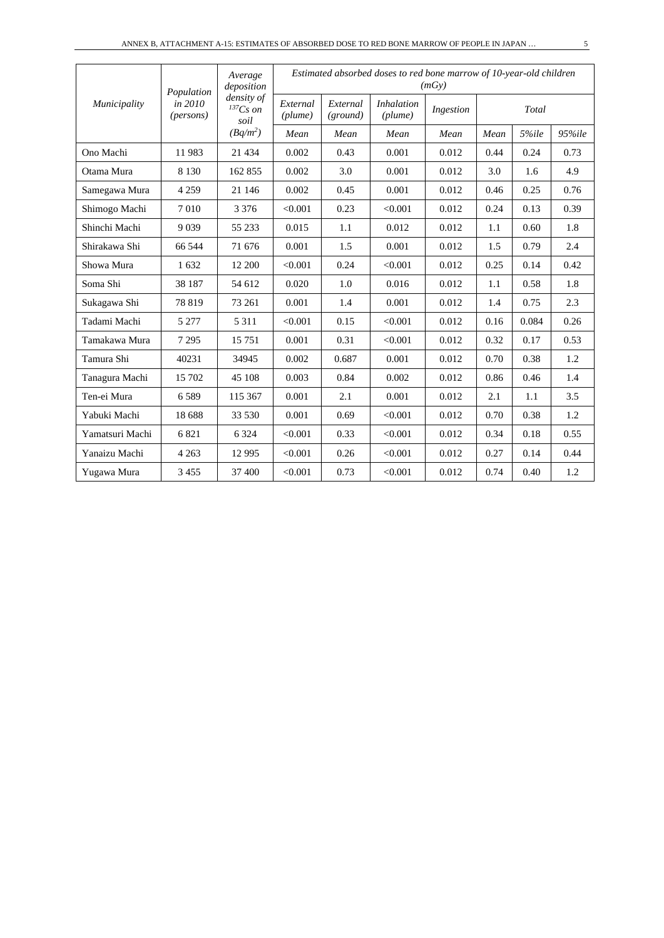|                 | Population           | Average<br>deposition<br>density of |                     |                      | Estimated absorbed doses to red bone marrow of 10-year-old children | (mGy)     |      |       |        |
|-----------------|----------------------|-------------------------------------|---------------------|----------------------|---------------------------------------------------------------------|-----------|------|-------|--------|
| Municipality    | in 2010<br>(persons) | $^{137}Cs$ on<br>soil               | External<br>(plume) | External<br>(ground) | <i>Inhalation</i><br>(plume)                                        | Ingestion |      | Total |        |
|                 |                      | $(Bq/m^2)$                          | Mean                | Mean                 | Mean                                                                | Mean      | Mean | 5%ile | 95%ile |
| Ono Machi       | 11983                | 21 4 34                             | 0.002               | 0.43                 | 0.001                                                               | 0.012     | 0.44 | 0.24  | 0.73   |
| Otama Mura      | 8 1 3 0              | 162 855                             | 0.002               | 3.0                  | 0.001                                                               | 0.012     | 3.0  | 1.6   | 4.9    |
| Samegawa Mura   | 4 2 5 9              | 21 14 6                             | 0.002               | 0.45                 | 0.001                                                               | 0.012     | 0.46 | 0.25  | 0.76   |
| Shimogo Machi   | 7010                 | 3 3 7 6                             | < 0.001             | 0.23                 | < 0.001                                                             | 0.012     | 0.24 | 0.13  | 0.39   |
| Shinchi Machi   | 9 0 3 9              | 55 233                              | 0.015               | 1.1                  | 0.012                                                               | 0.012     | 1.1  | 0.60  | 1.8    |
| Shirakawa Shi   | 66 544               | 71 676                              | 0.001               | 1.5                  | 0.001                                                               | 0.012     | 1.5  | 0.79  | 2.4    |
| Showa Mura      | 1632                 | 12 200                              | < 0.001             | 0.24                 | < 0.001                                                             | 0.012     | 0.25 | 0.14  | 0.42   |
| Soma Shi        | 38 187               | 54 612                              | 0.020               | 1.0                  | 0.016                                                               | 0.012     | 1.1  | 0.58  | 1.8    |
| Sukagawa Shi    | 78 819               | 73 261                              | 0.001               | 1.4                  | 0.001                                                               | 0.012     | 1.4  | 0.75  | 2.3    |
| Tadami Machi    | 5 2 7 7              | 5 3 1 1                             | < 0.001             | 0.15                 | < 0.001                                                             | 0.012     | 0.16 | 0.084 | 0.26   |
| Tamakawa Mura   | 7 2 9 5              | 15 751                              | 0.001               | 0.31                 | < 0.001                                                             | 0.012     | 0.32 | 0.17  | 0.53   |
| Tamura Shi      | 40231                | 34945                               | 0.002               | 0.687                | 0.001                                                               | 0.012     | 0.70 | 0.38  | 1.2    |
| Tanagura Machi  | 15 702               | 45 108                              | 0.003               | 0.84                 | 0.002                                                               | 0.012     | 0.86 | 0.46  | 1.4    |
| Ten-ei Mura     | 6589                 | 115 367                             | 0.001               | 2.1                  | 0.001                                                               | 0.012     | 2.1  | 1.1   | 3.5    |
| Yabuki Machi    | 18 688               | 33 530                              | 0.001               | 0.69                 | < 0.001                                                             | 0.012     | 0.70 | 0.38  | 1.2    |
| Yamatsuri Machi | 6821                 | 6 3 2 4                             | < 0.001             | 0.33                 | < 0.001                                                             | 0.012     | 0.34 | 0.18  | 0.55   |
| Yanaizu Machi   | 4 2 6 3              | 12 9 95                             | < 0.001             | 0.26                 | < 0.001                                                             | 0.012     | 0.27 | 0.14  | 0.44   |
| Yugawa Mura     | 3 4 5 5              | 37 400                              | < 0.001             | 0.73                 | < 0.001                                                             | 0.012     | 0.74 | 0.40  | 1.2    |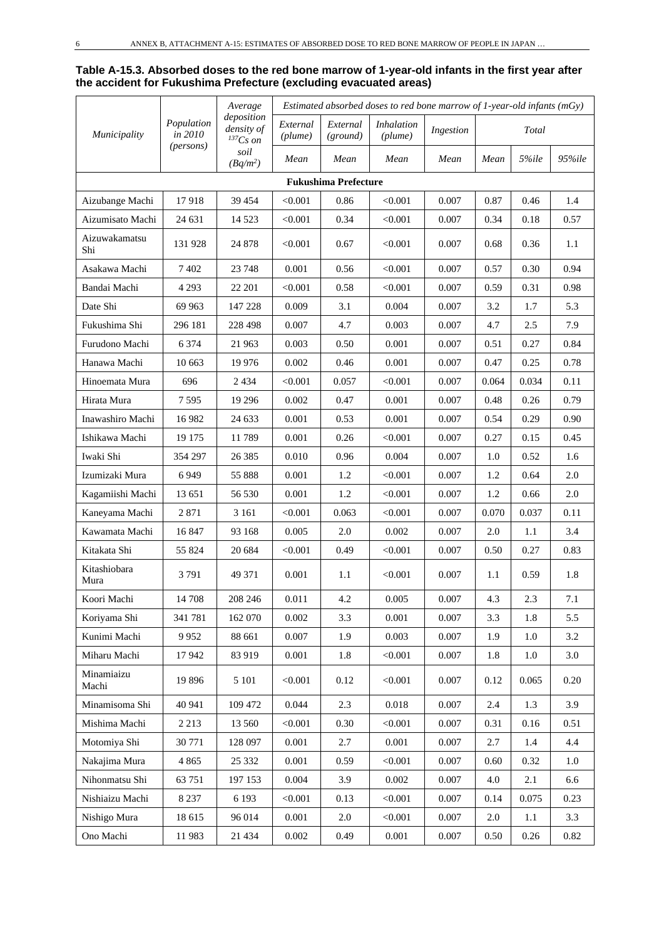#### **Table A-15.3. Absorbed doses to the red bone marrow of 1-year-old infants in the first year after the accident for Fukushima Prefecture (excluding evacuated areas)**

|                      |                       | Average                                     |                     |                             |                              |           | Estimated absorbed doses to red bone marrow of 1-year-old infants $(mGy)$ |       |          |  |
|----------------------|-----------------------|---------------------------------------------|---------------------|-----------------------------|------------------------------|-----------|---------------------------------------------------------------------------|-------|----------|--|
| <i>Municipality</i>  | Population<br>in 2010 | deposition<br>density of<br>${}^{137}Cs$ on | External<br>(plume) | External<br>(ground)        | <i>Inhalation</i><br>(plume) | Ingestion |                                                                           | Total |          |  |
|                      | (persons)             | soil<br>$(Bq/m^2)$                          | Mean                | Mean                        | Mean                         | Mean      | Mean                                                                      | 5%ile | 95%ile   |  |
|                      |                       |                                             |                     | <b>Fukushima Prefecture</b> |                              |           |                                                                           |       |          |  |
| Aizubange Machi      | 17918                 | 39 454                                      | < 0.001             | 0.86                        | < 0.001                      | 0.007     | 0.87                                                                      | 0.46  | 1.4      |  |
| Aizumisato Machi     | 24 631                | 14 5 23                                     | < 0.001             | 0.34                        | < 0.001                      | 0.007     | 0.34                                                                      | 0.18  | 0.57     |  |
| Aizuwakamatsu<br>Shi | 131 928               | 24 878                                      | < 0.001             | 0.67                        | < 0.001                      | 0.007     | 0.68                                                                      | 0.36  | 1.1      |  |
| Asakawa Machi        | 7 4 0 2               | 23 748                                      | 0.001               | 0.56                        | < 0.001                      | 0.007     | 0.57                                                                      | 0.30  | 0.94     |  |
| Bandai Machi         | 4 2 9 3               | 22 201                                      | < 0.001             | 0.58                        | < 0.001                      | 0.007     | 0.59                                                                      | 0.31  | 0.98     |  |
| Date Shi             | 69 963                | 147 228                                     | 0.009               | 3.1                         | 0.004                        | 0.007     | 3.2                                                                       | 1.7   | 5.3      |  |
| Fukushima Shi        | 296 181               | 228 498                                     | 0.007               | 4.7                         | 0.003                        | 0.007     | 4.7                                                                       | 2.5   | 7.9      |  |
| Furudono Machi       | 6 3 7 4               | 21 963                                      | 0.003               | 0.50                        | 0.001                        | 0.007     | 0.51                                                                      | 0.27  | 0.84     |  |
| Hanawa Machi         | 10 663                | 19 976                                      | 0.002               | 0.46                        | 0.001                        | 0.007     | 0.47                                                                      | 0.25  | 0.78     |  |
| Hinoemata Mura       | 696                   | 2 4 3 4                                     | < 0.001             | 0.057                       | < 0.001                      | 0.007     | 0.064                                                                     | 0.034 | 0.11     |  |
| Hirata Mura          | 7595                  | 19 29 6                                     | 0.002               | 0.47                        | 0.001                        | 0.007     | 0.48                                                                      | 0.26  | 0.79     |  |
| Inawashiro Machi     | 16 9 82               | 24 633                                      | 0.001               | 0.53                        | 0.001                        | 0.007     | 0.54                                                                      | 0.29  | 0.90     |  |
| Ishikawa Machi       | 19 175                | 11789                                       | 0.001               | 0.26                        | < 0.001                      | 0.007     | 0.27                                                                      | 0.15  | 0.45     |  |
| Iwaki Shi            | 354 297               | 26 3 8 5                                    | 0.010               | 0.96                        | 0.004                        | 0.007     | 1.0                                                                       | 0.52  | 1.6      |  |
| Izumizaki Mura       | 6949                  | 55 888                                      | 0.001               | 1.2                         | < 0.001                      | 0.007     | 1.2                                                                       | 0.64  | 2.0      |  |
| Kagamiishi Machi     | 13 651                | 56 530                                      | 0.001               | 1.2                         | < 0.001                      | 0.007     | 1.2                                                                       | 0.66  | 2.0      |  |
| Kaneyama Machi       | 2 8 7 1               | 3 1 6 1                                     | < 0.001             | 0.063                       | < 0.001                      | 0.007     | 0.070                                                                     | 0.037 | 0.11     |  |
| Kawamata Machi       | 16847                 | 93 168                                      | 0.005               | 2.0                         | 0.002                        | 0.007     | 2.0                                                                       | 1.1   | 3.4      |  |
| Kitakata Shi         | 55 824                | 20 684                                      | < 0.001             | 0.49                        | < 0.001                      | 0.007     | 0.50                                                                      | 0.27  | 0.83     |  |
| Kitashiobara<br>Mura | 3791                  | 49 371                                      | 0.001               | 1.1                         | < 0.001                      | 0.007     | 1.1                                                                       | 0.59  | 1.8      |  |
| Koori Machi          | 14 708                | 208 246                                     | 0.011               | 4.2                         | 0.005                        | 0.007     | 4.3                                                                       | 2.3   | 7.1      |  |
| Koriyama Shi         | 341 781               | 162 070                                     | 0.002               | 3.3                         | 0.001                        | 0.007     | 3.3                                                                       | 1.8   | 5.5      |  |
| Kunimi Machi         | 9952                  | 88 661                                      | 0.007               | 1.9                         | 0.003                        | 0.007     | 1.9                                                                       | 1.0   | 3.2      |  |
| Miharu Machi         | 17942                 | 83 919                                      | 0.001               | 1.8                         | < 0.001                      | 0.007     | 1.8                                                                       | 1.0   | 3.0      |  |
| Minamiaizu<br>Machi  | 19 896                | 5 1 0 1                                     | < 0.001             | 0.12                        | < 0.001                      | 0.007     | 0.12                                                                      | 0.065 | 0.20     |  |
| Minamisoma Shi       | 40 941                | 109 472                                     | 0.044               | 2.3                         | 0.018                        | 0.007     | 2.4                                                                       | 1.3   | 3.9      |  |
| Mishima Machi        | 2 2 1 3               | 13 560                                      | < 0.001             | 0.30                        | < 0.001                      | 0.007     | 0.31                                                                      | 0.16  | 0.51     |  |
| Motomiya Shi         | 30 771                | 128 097                                     | 0.001               | 2.7                         | 0.001                        | 0.007     | 2.7                                                                       | 1.4   | 4.4      |  |
| Nakajima Mura        | 4 8 6 5               | 25 332                                      | 0.001               | 0.59                        | < 0.001                      | 0.007     | 0.60                                                                      | 0.32  | 1.0      |  |
| Nihonmatsu Shi       | 63 751                | 197 153                                     | 0.004               | 3.9                         | 0.002                        | 0.007     | 4.0                                                                       | 2.1   | 6.6      |  |
| Nishiaizu Machi      | 8 2 3 7               | 6 1 9 3                                     | < 0.001             | 0.13                        | < 0.001                      | 0.007     | 0.14                                                                      | 0.075 | 0.23     |  |
| Nishigo Mura         | 18 615                | 96 014                                      | 0.001               | $2.0\,$                     | < 0.001                      | 0.007     | $2.0\,$                                                                   | 1.1   | 3.3      |  |
| Ono Machi            | 11983                 | 21 4 34                                     | 0.002               | 0.49                        | $0.001\,$                    | 0.007     | 0.50                                                                      | 0.26  | $0.82\,$ |  |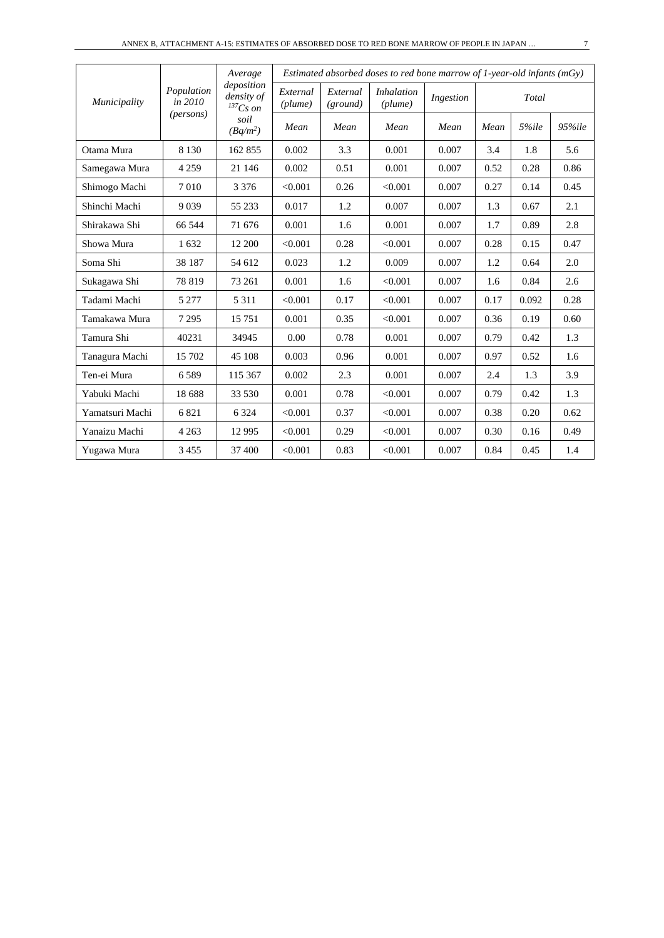|                 |                       | Average<br>deposition       |                     |                      | Estimated absorbed doses to red bone marrow of 1-year-old infants ( $mGy$ ) |           |      |       |        |
|-----------------|-----------------------|-----------------------------|---------------------|----------------------|-----------------------------------------------------------------------------|-----------|------|-------|--------|
| Municipality    | Population<br>in 2010 | density of<br>$^{137}Cs$ on | External<br>(plume) | External<br>(ground) | <i>Inhalation</i><br>(plume)                                                | Ingestion |      | Total |        |
|                 | ( <i>persons</i> )    | soil<br>$(Bq/m^2)$          | Mean                | Mean                 | Mean                                                                        | Mean      | Mean | 5%ile | 95%ile |
| Otama Mura      | 8 1 3 0               | 162 855                     | 0.002               | 3.3                  | 0.001                                                                       | 0.007     | 3.4  | 1.8   | 5.6    |
| Samegawa Mura   | 4 2 5 9               | 21 146                      | 0.002               | 0.51                 | 0.001                                                                       | 0.007     | 0.52 | 0.28  | 0.86   |
| Shimogo Machi   | 7010                  | 3 3 7 6                     | < 0.001             | 0.26                 | < 0.001                                                                     | 0.007     | 0.27 | 0.14  | 0.45   |
| Shinchi Machi   | 9 0 3 9               | 55 233                      | 0.017               | 1.2                  | 0.007                                                                       | 0.007     | 1.3  | 0.67  | 2.1    |
| Shirakawa Shi   | 66 544                | 71 676                      | 0.001               | 1.6                  | 0.001                                                                       | 0.007     | 1.7  | 0.89  | 2.8    |
| Showa Mura      | 1632                  | 12 200                      | < 0.001             | 0.28                 | < 0.001                                                                     | 0.007     | 0.28 | 0.15  | 0.47   |
| Soma Shi        | 38 187                | 54 612                      | 0.023               | 1.2                  | 0.009                                                                       | 0.007     | 1.2  | 0.64  | 2.0    |
| Sukagawa Shi    | 78 819                | 73 261                      | 0.001               | 1.6                  | < 0.001                                                                     | 0.007     | 1.6  | 0.84  | 2.6    |
| Tadami Machi    | 5 2 7 7               | 5 3 1 1                     | < 0.001             | 0.17                 | < 0.001                                                                     | 0.007     | 0.17 | 0.092 | 0.28   |
| Tamakawa Mura   | 7 2 9 5               | 15 751                      | 0.001               | 0.35                 | < 0.001                                                                     | 0.007     | 0.36 | 0.19  | 0.60   |
| Tamura Shi      | 40231                 | 34945                       | 0.00                | 0.78                 | 0.001                                                                       | 0.007     | 0.79 | 0.42  | 1.3    |
| Tanagura Machi  | 15 702                | 45 108                      | 0.003               | 0.96                 | 0.001                                                                       | 0.007     | 0.97 | 0.52  | 1.6    |
| Ten-ei Mura     | 6589                  | 115 367                     | 0.002               | 2.3                  | 0.001                                                                       | 0.007     | 2.4  | 1.3   | 3.9    |
| Yabuki Machi    | 18 688                | 33 530                      | 0.001               | 0.78                 | < 0.001                                                                     | 0.007     | 0.79 | 0.42  | 1.3    |
| Yamatsuri Machi | 6821                  | 6 3 2 4                     | < 0.001             | 0.37                 | < 0.001                                                                     | 0.007     | 0.38 | 0.20  | 0.62   |
| Yanaizu Machi   | 4 2 6 3               | 12 9 95                     | < 0.001             | 0.29                 | < 0.001                                                                     | 0.007     | 0.30 | 0.16  | 0.49   |
| Yugawa Mura     | 3 4 5 5               | 37 400                      | < 0.001             | 0.83                 | < 0.001                                                                     | 0.007     | 0.84 | 0.45  | 1.4    |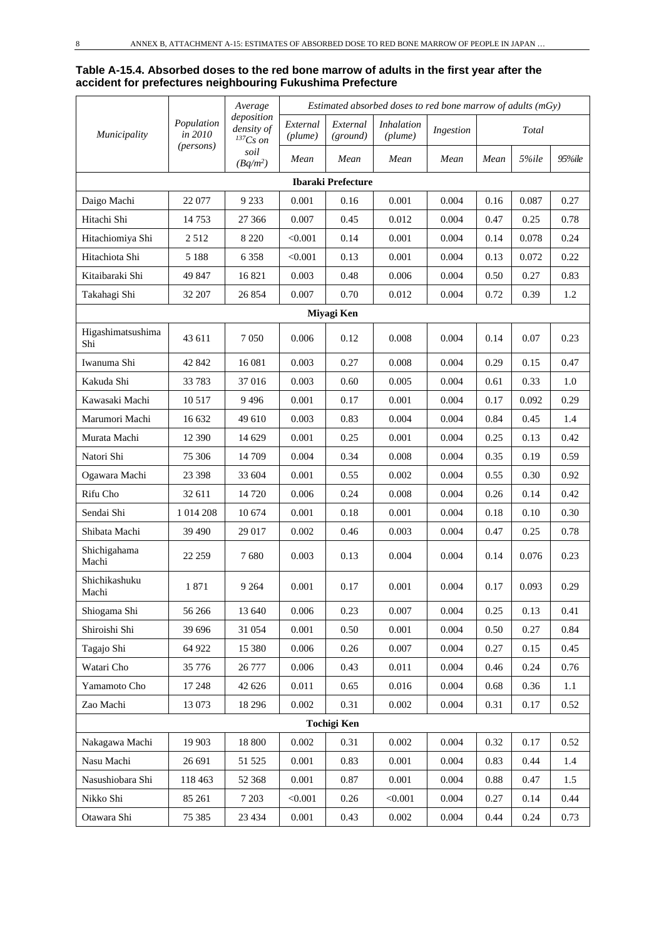#### **Table A-15.4. Absorbed doses to the red bone marrow of adults in the first year after the accident for prefectures neighbouring Fukushima Prefecture**

|                          |                       | Average                                     |                     |                           | Estimated absorbed doses to red bone marrow of adults (mGy) |           |      |       |        |
|--------------------------|-----------------------|---------------------------------------------|---------------------|---------------------------|-------------------------------------------------------------|-----------|------|-------|--------|
| Municipality             | Population<br>in 2010 | deposition<br>density of<br>${}^{137}Cs$ on | External<br>(plume) | External<br>(ground)      | <i>Inhalation</i><br>(plume)                                | Ingestion |      | Total |        |
|                          | (persons)             | soil<br>$(Bq/m^2)$                          | Mean                | Mean                      | Mean                                                        | Mean      | Mean | 5%ile | 95%ile |
|                          |                       |                                             |                     | <b>Ibaraki Prefecture</b> |                                                             |           |      |       |        |
| Daigo Machi              | 22 077                | 9 2 3 3                                     | 0.001               | 0.16                      | 0.001                                                       | 0.004     | 0.16 | 0.087 | 0.27   |
| Hitachi Shi              | 14753                 | 27 36 6                                     | 0.007               | 0.45                      | 0.012                                                       | 0.004     | 0.47 | 0.25  | 0.78   |
| Hitachiomiya Shi         | 2512                  | 8 2 2 0                                     | < 0.001             | 0.14                      | 0.001                                                       | 0.004     | 0.14 | 0.078 | 0.24   |
| Hitachiota Shi           | 5 1 8 8               | 6 3 5 8                                     | < 0.001             | 0.13                      | 0.001                                                       | 0.004     | 0.13 | 0.072 | 0.22   |
| Kitaibaraki Shi          | 49 847                | 16 821                                      | 0.003               | 0.48                      | 0.006                                                       | 0.004     | 0.50 | 0.27  | 0.83   |
| Takahagi Shi             | 32 207                | 26 854                                      | 0.007               | 0.70                      | 0.012                                                       | 0.004     | 0.72 | 0.39  | 1.2    |
|                          |                       |                                             |                     | Miyagi Ken                |                                                             |           |      |       |        |
| Higashimatsushima<br>Shi | 43 611                | 7 0 5 0                                     | 0.006               | 0.12                      | 0.008                                                       | 0.004     | 0.14 | 0.07  | 0.23   |
| Iwanuma Shi              | 42 842                | 16 081                                      | 0.003               | 0.27                      | 0.008                                                       | 0.004     | 0.29 | 0.15  | 0.47   |
| Kakuda Shi               | 33 783                | 37016                                       | 0.003               | 0.60                      | 0.005                                                       | 0.004     | 0.61 | 0.33  | 1.0    |
| Kawasaki Machi           | 10 517                | 9496                                        | 0.001               | 0.17                      | 0.001                                                       | 0.004     | 0.17 | 0.092 | 0.29   |
| Marumori Machi           | 16 632                | 49 610                                      | 0.003               | 0.83                      | 0.004                                                       | 0.004     | 0.84 | 0.45  | 1.4    |
| Murata Machi             | 12 390                | 14 629                                      | 0.001               | 0.25                      | 0.001                                                       | 0.004     | 0.25 | 0.13  | 0.42   |
| Natori Shi               | 75 306                | 14 709                                      | 0.004               | 0.34                      | 0.008                                                       | 0.004     | 0.35 | 0.19  | 0.59   |
| Ogawara Machi            | 23 398                | 33 604                                      | 0.001               | 0.55                      | 0.002                                                       | 0.004     | 0.55 | 0.30  | 0.92   |
| Rifu Cho                 | 32 611                | 14 720                                      | 0.006               | 0.24                      | 0.008                                                       | 0.004     | 0.26 | 0.14  | 0.42   |
| Sendai Shi               | 1 0 1 4 2 0 8         | 10 674                                      | 0.001               | 0.18                      | 0.001                                                       | 0.004     | 0.18 | 0.10  | 0.30   |
| Shibata Machi            | 39 490                | 29 017                                      | 0.002               | 0.46                      | 0.003                                                       | 0.004     | 0.47 | 0.25  | 0.78   |
| Shichigahama<br>Machi    | 22 259                | 7680                                        | 0.003               | 0.13                      | 0.004                                                       | 0.004     | 0.14 | 0.076 | 0.23   |
| Shichikashuku<br>Machi   | 1871                  | 9 2 6 4                                     | 0.001               | 0.17                      | 0.001                                                       | 0.004     | 0.17 | 0.093 | 0.29   |
| Shiogama Shi             | 56 266                | 13 640                                      | 0.006               | 0.23                      | 0.007                                                       | 0.004     | 0.25 | 0.13  | 0.41   |
| Shiroishi Shi            | 39 696                | 31 054                                      | 0.001               | 0.50                      | 0.001                                                       | 0.004     | 0.50 | 0.27  | 0.84   |
| Tagajo Shi               | 64 922                | 15 380                                      | 0.006               | 0.26                      | 0.007                                                       | 0.004     | 0.27 | 0.15  | 0.45   |
| Watari Cho               | 35 776                | 26 777                                      | 0.006               | 0.43                      | 0.011                                                       | 0.004     | 0.46 | 0.24  | 0.76   |
| Yamamoto Cho             | 17 248                | 42 626                                      | 0.011               | 0.65                      | 0.016                                                       | 0.004     | 0.68 | 0.36  | 1.1    |
| Zao Machi                | 13 073                | 18 29 6                                     | 0.002               | 0.31                      | 0.002                                                       | 0.004     | 0.31 | 0.17  | 0.52   |
|                          |                       |                                             |                     | <b>Tochigi Ken</b>        |                                                             |           |      |       |        |
| Nakagawa Machi           | 19 903                | 18 800                                      | 0.002               | 0.31                      | 0.002                                                       | 0.004     | 0.32 | 0.17  | 0.52   |
| Nasu Machi               | 26 691                | 51 525                                      | 0.001               | 0.83                      | 0.001                                                       | 0.004     | 0.83 | 0.44  | 1.4    |
| Nasushiobara Shi         | 118 463               | 52 368                                      | 0.001               | 0.87                      | 0.001                                                       | 0.004     | 0.88 | 0.47  | 1.5    |
| Nikko Shi                | 85 261                | 7 2 0 3                                     | < 0.001             | 0.26                      | < 0.001                                                     | 0.004     | 0.27 | 0.14  | 0.44   |
| Otawara Shi              | 75 385                | 23 4 34                                     | 0.001               | 0.43                      | 0.002                                                       | 0.004     | 0.44 | 0.24  | 0.73   |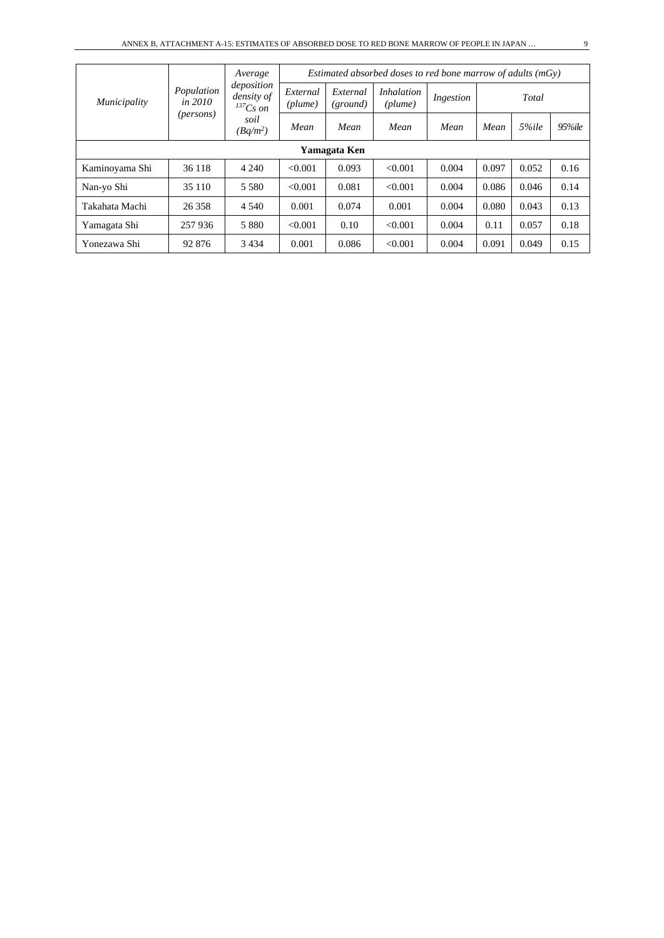|                |                         | Average                                   | Estimated absorbed doses to red bone marrow of adults $(mGv)$ |                      |                              |           |       |       |            |  |  |
|----------------|-------------------------|-------------------------------------------|---------------------------------------------------------------|----------------------|------------------------------|-----------|-------|-------|------------|--|--|
| Municipality   | Population<br>in $2010$ | deposition<br>density of<br>$^{137}Cs$ on | External<br>(plume)                                           | External<br>(ground) | <i>Inhalation</i><br>(plume) | Ingestion |       | Total |            |  |  |
|                | ( <i>persons</i> )      | soil<br>$(Bq/m^2)$                        | Mean                                                          | Mean                 | Mean                         | Mean      | Mean  | 5%ile | $95\%$ ile |  |  |
| Yamagata Ken   |                         |                                           |                                                               |                      |                              |           |       |       |            |  |  |
| Kaminoyama Shi | 36 118                  | 4 2 4 0                                   | < 0.001                                                       | 0.093                | < 0.001                      | 0.004     | 0.097 | 0.052 | 0.16       |  |  |
| Nan-yo Shi     | 35 110                  | 5 5 8 0                                   | < 0.001                                                       | 0.081                | < 0.001                      | 0.004     | 0.086 | 0.046 | 0.14       |  |  |
| Takahata Machi | 26 358                  | 4 5 4 0                                   | 0.001                                                         | 0.074                | 0.001                        | 0.004     | 0.080 | 0.043 | 0.13       |  |  |
| Yamagata Shi   | 257 936                 | 5 8 8 0                                   | < 0.001                                                       | 0.10                 | < 0.001                      | 0.004     | 0.11  | 0.057 | 0.18       |  |  |
| Yonezawa Shi   | 92 876                  | 3 4 3 4                                   | 0.001                                                         | 0.086                | < 0.001                      | 0.004     | 0.091 | 0.049 | 0.15       |  |  |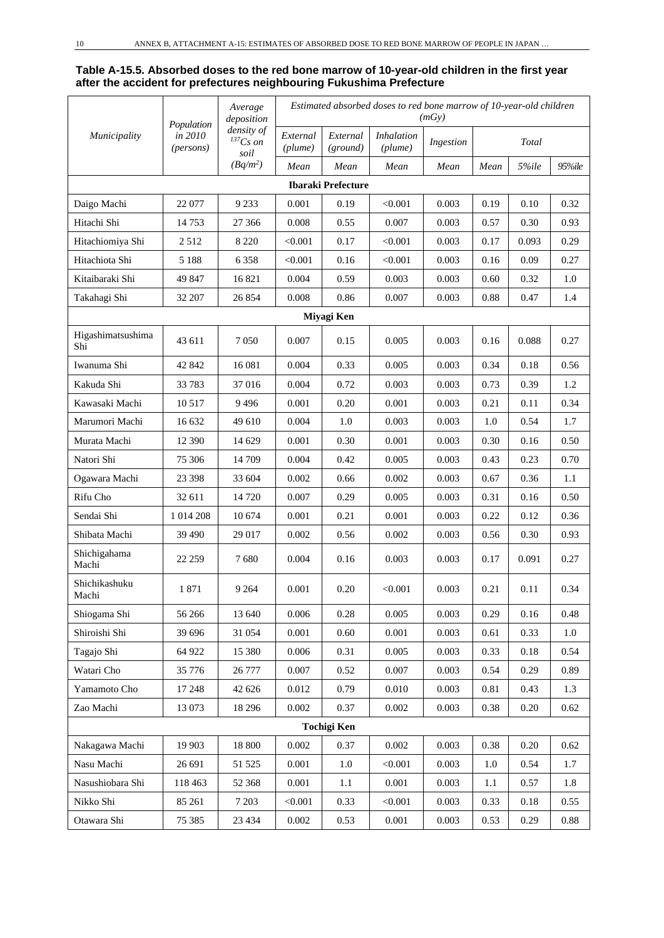#### **Table A-15.5. Absorbed doses to the red bone marrow of 10-year-old children in the first year after the accident for prefectures neighbouring Fukushima Prefecture**

|                          | Population                    | Average<br>deposition                 |                     |                           | Estimated absorbed doses to red bone marrow of 10-year-old children | (mGy)     |      |       |        |
|--------------------------|-------------------------------|---------------------------------------|---------------------|---------------------------|---------------------------------------------------------------------|-----------|------|-------|--------|
| Municipality             | in 2010<br>( <i>persons</i> ) | density of<br>${}^{137}Cs$ on<br>soil | External<br>(plume) | External<br>(ground)      | <b>Inhalation</b><br>(plume)                                        | Ingestion |      | Total |        |
|                          |                               | $(Bq/m^2)$                            | Mean                | Mean                      | Mean                                                                | Mean      | Mean | 5%ile | 95%ile |
|                          |                               |                                       |                     | <b>Ibaraki Prefecture</b> |                                                                     |           |      |       |        |
| Daigo Machi              | 22 077                        | 9 2 3 3                               | 0.001               | 0.19                      | < 0.001                                                             | 0.003     | 0.19 | 0.10  | 0.32   |
| Hitachi Shi              | 14753                         | 27 36 6                               | 0.008               | 0.55                      | 0.007                                                               | 0.003     | 0.57 | 0.30  | 0.93   |
| Hitachiomiya Shi         | 2512                          | 8 2 2 0                               | < 0.001             | 0.17                      | < 0.001                                                             | 0.003     | 0.17 | 0.093 | 0.29   |
| Hitachiota Shi           | 5 1 8 8                       | 6 3 5 8                               | < 0.001             | 0.16                      | < 0.001                                                             | 0.003     | 0.16 | 0.09  | 0.27   |
| Kitaibaraki Shi          | 49 847                        | 16821                                 | 0.004               | 0.59                      | 0.003                                                               | 0.003     | 0.60 | 0.32  | 1.0    |
| Takahagi Shi             | 32 207                        | 26 854                                | 0.008               | 0.86                      | 0.007                                                               | 0.003     | 0.88 | 0.47  | 1.4    |
|                          |                               |                                       |                     | Miyagi Ken                |                                                                     |           |      |       |        |
| Higashimatsushima<br>Shi | 43 611                        | 7 0 5 0                               | 0.007               | 0.15                      | 0.005                                                               | 0.003     | 0.16 | 0.088 | 0.27   |
| Iwanuma Shi              | 42 842                        | 16 081                                | 0.004               | 0.33                      | 0.005                                                               | 0.003     | 0.34 | 0.18  | 0.56   |
| Kakuda Shi               | 33 783                        | 37016                                 | 0.004               | 0.72                      | 0.003                                                               | 0.003     | 0.73 | 0.39  | 1.2    |
| Kawasaki Machi           | 10 5 17                       | 9496                                  | 0.001               | 0.20                      | 0.001                                                               | 0.003     | 0.21 | 0.11  | 0.34   |
| Marumori Machi           | 16 632                        | 49 610                                | 0.004               | 1.0                       | 0.003                                                               | 0.003     | 1.0  | 0.54  | 1.7    |
| Murata Machi             | 12 390                        | 14 629                                | 0.001               | 0.30                      | 0.001                                                               | 0.003     | 0.30 | 0.16  | 0.50   |
| Natori Shi               | 75 306                        | 14 709                                | 0.004               | 0.42                      | 0.005                                                               | 0.003     | 0.43 | 0.23  | 0.70   |
| Ogawara Machi            | 23 398                        | 33 604                                | 0.002               | 0.66                      | 0.002                                                               | 0.003     | 0.67 | 0.36  | 1.1    |
| Rifu Cho                 | 32 611                        | 14 7 20                               | 0.007               | 0.29                      | 0.005                                                               | 0.003     | 0.31 | 0.16  | 0.50   |
| Sendai Shi               | 1 014 208                     | 10 674                                | 0.001               | 0.21                      | 0.001                                                               | 0.003     | 0.22 | 0.12  | 0.36   |
| Shibata Machi            | 39 490                        | 29 017                                | 0.002               | 0.56                      | 0.002                                                               | 0.003     | 0.56 | 0.30  | 0.93   |
| Shichigahama<br>Machi    | 22 259                        | 7680                                  | 0.004               | 0.16                      | 0.003                                                               | 0.003     | 0.17 | 0.091 | 0.27   |
| Shichikashuku<br>Machi   | 1871                          | 9 2 6 4                               | 0.001               | 0.20                      | < 0.001                                                             | 0.003     | 0.21 | 0.11  | 0.34   |
| Shiogama Shi             | 56 266                        | 13 640                                | 0.006               | 0.28                      | 0.005                                                               | 0.003     | 0.29 | 0.16  | 0.48   |
| Shiroishi Shi            | 39 696                        | 31 054                                | 0.001               | 0.60                      | 0.001                                                               | 0.003     | 0.61 | 0.33  | 1.0    |
| Tagajo Shi               | 64 922                        | 15 380                                | 0.006               | 0.31                      | 0.005                                                               | 0.003     | 0.33 | 0.18  | 0.54   |
| Watari Cho               | 35 776                        | 26 777                                | 0.007               | 0.52                      | 0.007                                                               | 0.003     | 0.54 | 0.29  | 0.89   |
| Yamamoto Cho             | 17 248                        | 42 626                                | 0.012               | 0.79                      | 0.010                                                               | 0.003     | 0.81 | 0.43  | 1.3    |
| Zao Machi                | 13 073                        | 18 29 6                               | 0.002               | 0.37                      | 0.002                                                               | 0.003     | 0.38 | 0.20  | 0.62   |
|                          |                               |                                       |                     | <b>Tochigi Ken</b>        |                                                                     |           |      |       |        |
| Nakagawa Machi           | 19 903                        | 18 800                                | 0.002               | 0.37                      | 0.002                                                               | 0.003     | 0.38 | 0.20  | 0.62   |
| Nasu Machi               | 26 691                        | 51 525                                | 0.001               | 1.0                       | < 0.001                                                             | 0.003     | 1.0  | 0.54  | 1.7    |
| Nasushiobara Shi         | 118 463                       | 52 368                                | 0.001               | 1.1                       | 0.001                                                               | 0.003     | 1.1  | 0.57  | 1.8    |
| Nikko Shi                | 85 261                        | 7 2 0 3                               | < 0.001             | 0.33                      | < 0.001                                                             | 0.003     | 0.33 | 0.18  | 0.55   |
| Otawara Shi              | 75 385                        | 23 4 34                               | 0.002               | 0.53                      | 0.001                                                               | 0.003     | 0.53 | 0.29  | 0.88   |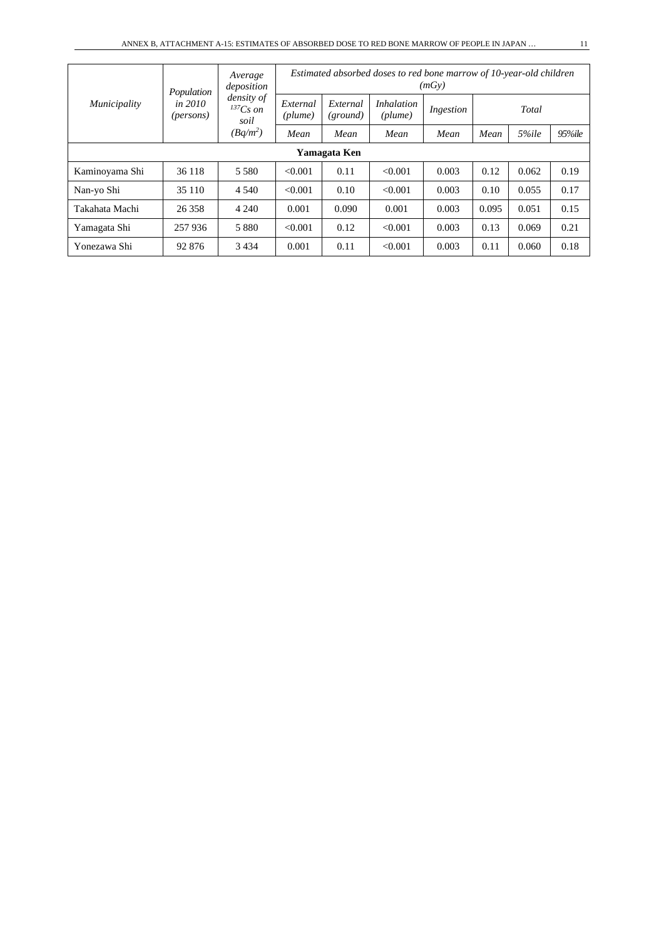|                | Population                    | Average<br>deposition<br>density of<br>$^{137}Cs$ on<br>soil | Estimated absorbed doses to red bone marrow of 10-year-old children<br>(mGv) |                      |                              |           |       |       |            |  |
|----------------|-------------------------------|--------------------------------------------------------------|------------------------------------------------------------------------------|----------------------|------------------------------|-----------|-------|-------|------------|--|
| Municipality   | in 2010<br>( <i>persons</i> ) |                                                              | External<br>(plume)                                                          | External<br>(ground) | <i>Inhalation</i><br>(plume) | Ingestion |       | Total |            |  |
|                |                               | $(Bq/m^2)$                                                   | Mean                                                                         | Mean                 | Mean                         | Mean      | Mean  | 5%ile | $95\%$ ile |  |
| Yamagata Ken   |                               |                                                              |                                                                              |                      |                              |           |       |       |            |  |
| Kaminoyama Shi | 36 118                        | 5 5 8 0                                                      | < 0.001                                                                      | 0.11                 | < 0.001                      | 0.003     | 0.12  | 0.062 | 0.19       |  |
| Nan-yo Shi     | 35 110                        | 4 5 4 0                                                      | < 0.001                                                                      | 0.10                 | < 0.001                      | 0.003     | 0.10  | 0.055 | 0.17       |  |
| Takahata Machi | 26 358                        | 4 2 4 0                                                      | 0.001                                                                        | 0.090                | 0.001                        | 0.003     | 0.095 | 0.051 | 0.15       |  |
| Yamagata Shi   | 257936                        | 5 8 8 0                                                      | < 0.001                                                                      | 0.12                 | < 0.001                      | 0.003     | 0.13  | 0.069 | 0.21       |  |
| Yonezawa Shi   | 92 876                        | 3 4 3 4                                                      | 0.001                                                                        | 0.11                 | < 0.001                      | 0.003     | 0.11  | 0.060 | 0.18       |  |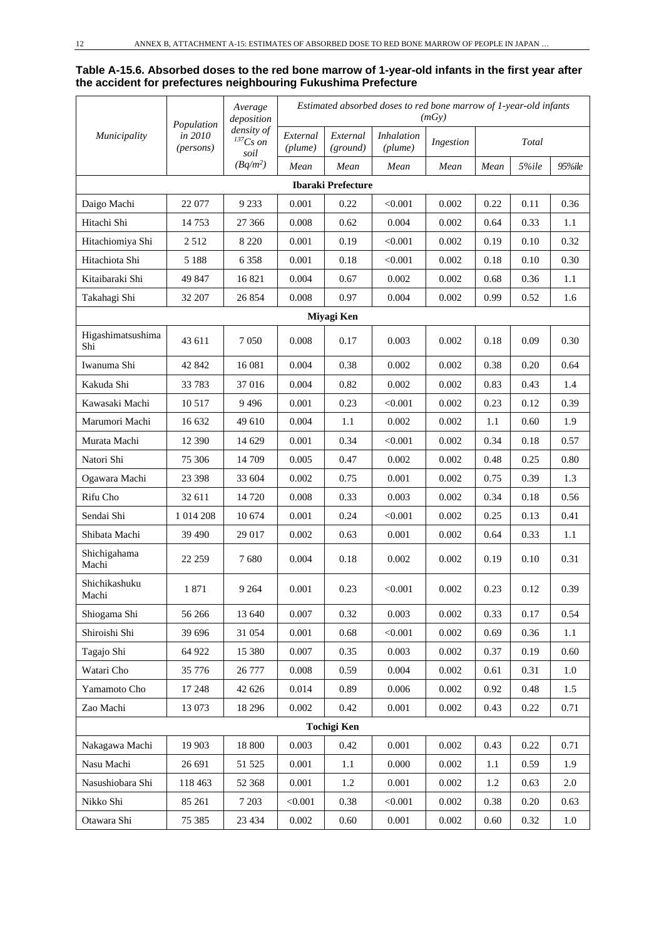#### **Table A-15.6. Absorbed doses to the red bone marrow of 1-year-old infants in the first year after the accident for prefectures neighbouring Fukushima Prefecture**

|                          | Population           | Average<br>deposition               |                     |                           |                              | (mGy)     |      | Estimated absorbed doses to red bone marrow of 1-year-old infants |         |  |  |
|--------------------------|----------------------|-------------------------------------|---------------------|---------------------------|------------------------------|-----------|------|-------------------------------------------------------------------|---------|--|--|
| Municipality             | in 2010<br>(persons) | density of<br>$^{137}Cs$ on<br>soil | External<br>(plume) | External<br>(ground)      | <b>Inhalation</b><br>(plume) | Ingestion |      | Total                                                             |         |  |  |
|                          |                      | $(Bq/m^2)$                          | Mean                | Mean                      | Mean                         | Mean      | Mean | 5%ile                                                             | 95%ile  |  |  |
|                          |                      |                                     |                     | <b>Ibaraki Prefecture</b> |                              |           |      |                                                                   |         |  |  |
| Daigo Machi              | 22 077               | 9 2 3 3                             | 0.001               | 0.22                      | < 0.001                      | 0.002     | 0.22 | 0.11                                                              | 0.36    |  |  |
| Hitachi Shi              | 14753                | 27 366                              | 0.008               | 0.62                      | 0.004                        | 0.002     | 0.64 | 0.33                                                              | 1.1     |  |  |
| Hitachiomiya Shi         | 2512                 | 8 2 2 0                             | 0.001               | 0.19                      | < 0.001                      | 0.002     | 0.19 | 0.10                                                              | 0.32    |  |  |
| Hitachiota Shi           | 5 1 8 8              | 6 3 5 8                             | 0.001               | 0.18                      | < 0.001                      | 0.002     | 0.18 | 0.10                                                              | 0.30    |  |  |
| Kitaibaraki Shi          | 49 847               | 16821                               | 0.004               | 0.67                      | 0.002                        | 0.002     | 0.68 | 0.36                                                              | 1.1     |  |  |
| Takahagi Shi             | 32 207               | 26 854                              | 0.008               | 0.97                      | 0.004                        | 0.002     | 0.99 | 0.52                                                              | 1.6     |  |  |
|                          |                      |                                     |                     | Miyagi Ken                |                              |           |      |                                                                   |         |  |  |
| Higashimatsushima<br>Shi | 43 611               | 7050                                | 0.008               | 0.17                      | 0.003                        | 0.002     | 0.18 | 0.09                                                              | 0.30    |  |  |
| Iwanuma Shi              | 42 842               | 16 08 1                             | 0.004               | 0.38                      | 0.002                        | 0.002     | 0.38 | 0.20                                                              | 0.64    |  |  |
| Kakuda Shi               | 33783                | 37016                               | 0.004               | 0.82                      | 0.002                        | 0.002     | 0.83 | 0.43                                                              | 1.4     |  |  |
| Kawasaki Machi           | 10 5 17              | 9496                                | 0.001               | 0.23                      | < 0.001                      | 0.002     | 0.23 | 0.12                                                              | 0.39    |  |  |
| Marumori Machi           | 16 632               | 49 610                              | 0.004               | 1.1                       | 0.002                        | 0.002     | 1.1  | 0.60                                                              | 1.9     |  |  |
| Murata Machi             | 12 390               | 14 629                              | 0.001               | 0.34                      | < 0.001                      | 0.002     | 0.34 | 0.18                                                              | 0.57    |  |  |
| Natori Shi               | 75 306               | 14 709                              | 0.005               | 0.47                      | 0.002                        | 0.002     | 0.48 | 0.25                                                              | 0.80    |  |  |
| Ogawara Machi            | 23 3 98              | 33 604                              | 0.002               | 0.75                      | 0.001                        | 0.002     | 0.75 | 0.39                                                              | 1.3     |  |  |
| Rifu Cho                 | 32 611               | 14 7 20                             | 0.008               | 0.33                      | 0.003                        | 0.002     | 0.34 | 0.18                                                              | 0.56    |  |  |
| Sendai Shi               | 1 014 208            | 10 674                              | 0.001               | 0.24                      | < 0.001                      | 0.002     | 0.25 | 0.13                                                              | 0.41    |  |  |
| Shibata Machi            | 39 490               | 29 017                              | 0.002               | 0.63                      | 0.001                        | 0.002     | 0.64 | 0.33                                                              | 1.1     |  |  |
| Shichigahama<br>Machi    | 22 259               | 7680                                | 0.004               | 0.18                      | 0.002                        | 0.002     | 0.19 | 0.10                                                              | 0.31    |  |  |
| Shichikashuku<br>Machi   | 1871                 | 9 2 6 4                             | 0.001               | 0.23                      | < 0.001                      | 0.002     | 0.23 | 0.12                                                              | 0.39    |  |  |
| Shiogama Shi             | 56 266               | 13 640                              | 0.007               | 0.32                      | 0.003                        | 0.002     | 0.33 | 0.17                                                              | 0.54    |  |  |
| Shiroishi Shi            | 39 696               | 31 054                              | 0.001               | 0.68                      | < 0.001                      | 0.002     | 0.69 | 0.36                                                              | 1.1     |  |  |
| Tagajo Shi               | 64 922               | 15 380                              | 0.007               | 0.35                      | 0.003                        | 0.002     | 0.37 | 0.19                                                              | 0.60    |  |  |
| Watari Cho               | 35 776               | 26 777                              | 0.008               | 0.59                      | 0.004                        | 0.002     | 0.61 | 0.31                                                              | 1.0     |  |  |
| Yamamoto Cho             | 17 248               | 42 626                              | 0.014               | 0.89                      | 0.006                        | 0.002     | 0.92 | 0.48                                                              | 1.5     |  |  |
| Zao Machi                | 13 073               | 18 29 6                             | 0.002               | 0.42                      | 0.001                        | 0.002     | 0.43 | 0.22                                                              | 0.71    |  |  |
|                          |                      |                                     |                     | <b>Tochigi Ken</b>        |                              |           |      |                                                                   |         |  |  |
| Nakagawa Machi           | 19 903               | 18 800                              | 0.003               | 0.42                      | 0.001                        | 0.002     | 0.43 | 0.22                                                              | 0.71    |  |  |
| Nasu Machi               | 26 691               | 51 525                              | 0.001               | $1.1\,$                   | 0.000                        | 0.002     | 1.1  | 0.59                                                              | 1.9     |  |  |
| Nasushiobara Shi         | 118 463              | 52 368                              | 0.001               | $1.2\,$                   | 0.001                        | 0.002     | 1.2  | 0.63                                                              | $2.0\,$ |  |  |
| Nikko Shi                | 85 261               | 7 2 0 3                             | < 0.001             | 0.38                      | < 0.001                      | 0.002     | 0.38 | 0.20                                                              | 0.63    |  |  |
| Otawara Shi              | 75 385               | 23 4 34                             | 0.002               | 0.60                      | 0.001                        | 0.002     | 0.60 | 0.32                                                              | $1.0\,$ |  |  |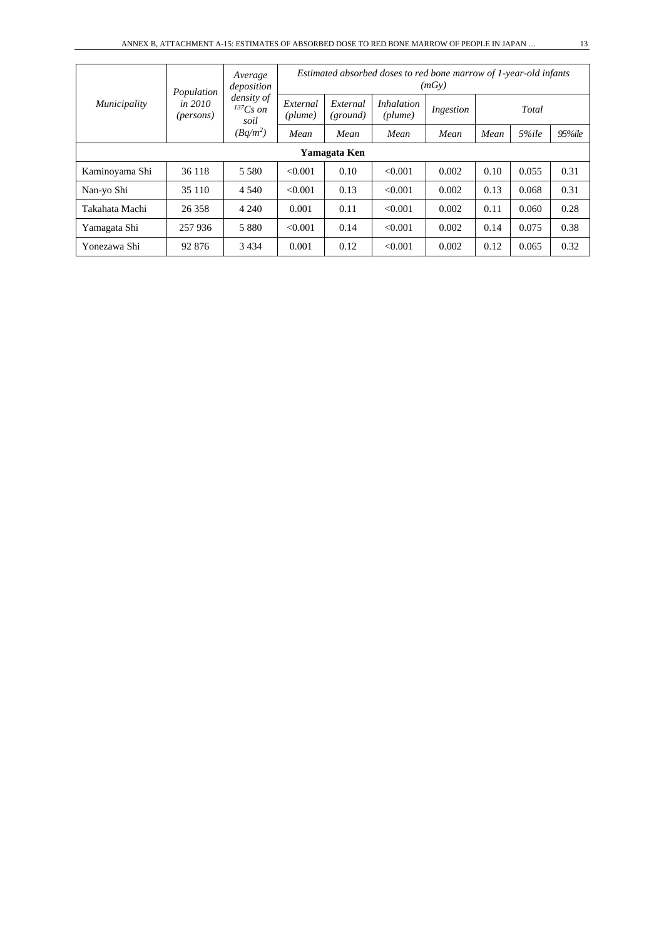|                | Population                    | Average<br>deposition               | Estimated absorbed doses to red bone marrow of 1-year-old infants<br>(mGy) |                      |                              |           |      |       |            |  |
|----------------|-------------------------------|-------------------------------------|----------------------------------------------------------------------------|----------------------|------------------------------|-----------|------|-------|------------|--|
| Municipality   | in 2010<br>( <i>persons</i> ) | density of<br>$^{137}Cs$ on<br>soil | External<br>(plume)                                                        | External<br>(ground) | <i>Inhalation</i><br>(plume) | Ingestion |      | Total |            |  |
|                |                               | $(Bq/m^2)$                          | Mean                                                                       | Mean                 | Mean                         | Mean      | Mean | 5%ile | $95\%$ ile |  |
| Yamagata Ken   |                               |                                     |                                                                            |                      |                              |           |      |       |            |  |
| Kaminoyama Shi | 36 118                        | 5 5 8 0                             | < 0.001                                                                    | 0.10                 | < 0.001                      | 0.002     | 0.10 | 0.055 | 0.31       |  |
| Nan-yo Shi     | 35 110                        | 4 5 4 0                             | < 0.001                                                                    | 0.13                 | < 0.001                      | 0.002     | 0.13 | 0.068 | 0.31       |  |
| Takahata Machi | 26 358                        | 4 2 4 0                             | 0.001                                                                      | 0.11                 | < 0.001                      | 0.002     | 0.11 | 0.060 | 0.28       |  |
| Yamagata Shi   | 257 936                       | 5 8 8 0                             | < 0.001                                                                    | 0.14                 | < 0.001                      | 0.002     | 0.14 | 0.075 | 0.38       |  |
| Yonezawa Shi   | 92 876                        | 3 4 3 4                             | 0.001                                                                      | 0.12                 | < 0.001                      | 0.002     | 0.12 | 0.065 | 0.32       |  |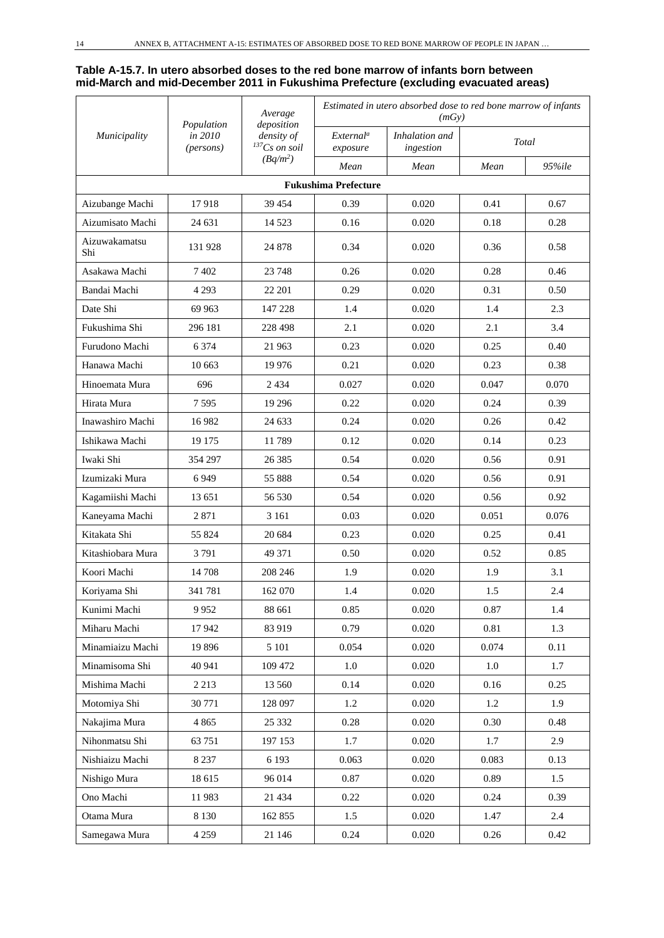#### **Table A-15.7. In utero absorbed doses to the red bone marrow of infants born between mid-March and mid-December 2011 in Fukushima Prefecture (excluding evacuated areas)**

|                      | Population           | Average<br>deposition              | Estimated in utero absorbed dose to red bone marrow of infants<br>(mGy) |                             |       |        |  |  |
|----------------------|----------------------|------------------------------------|-------------------------------------------------------------------------|-----------------------------|-------|--------|--|--|
| Municipality         | in 2010<br>(persons) | density of<br>${}^{137}Cs$ on soil | External <sup>a</sup><br>exposure                                       | Inhalation and<br>ingestion |       | Total  |  |  |
|                      |                      | $(Bq/m^2)$                         | Mean                                                                    | Mean                        | Mean  | 95%ile |  |  |
|                      |                      |                                    | <b>Fukushima Prefecture</b>                                             |                             |       |        |  |  |
| Aizubange Machi      | 17918                | 39 4 54                            | 0.39                                                                    | 0.020                       | 0.41  | 0.67   |  |  |
| Aizumisato Machi     | 24 631               | 14 5 23                            | 0.16                                                                    | 0.020                       | 0.18  | 0.28   |  |  |
| Aizuwakamatsu<br>Shi | 131 928              | 24 878                             | 0.34                                                                    | 0.020                       | 0.36  | 0.58   |  |  |
| Asakawa Machi        | 7402                 | 23 748                             | 0.26                                                                    | 0.020                       | 0.28  | 0.46   |  |  |
| Bandai Machi         | 4 2 9 3              | 22 201                             | 0.29                                                                    | 0.020                       | 0.31  | 0.50   |  |  |
| Date Shi             | 69 963               | 147 228                            | 1.4                                                                     | 0.020                       | 1.4   | 2.3    |  |  |
| Fukushima Shi        | 296 181              | 228 498                            | 2.1                                                                     | 0.020                       | 2.1   | 3.4    |  |  |
| Furudono Machi       | 6 3 7 4              | 21 963                             | 0.23                                                                    | 0.020                       | 0.25  | 0.40   |  |  |
| Hanawa Machi         | 10 663               | 19 9 76                            | 0.21                                                                    | 0.020                       | 0.23  | 0.38   |  |  |
| Hinoemata Mura       | 696                  | 2434                               | 0.027                                                                   | 0.020                       | 0.047 | 0.070  |  |  |
| Hirata Mura          | 7595                 | 19 29 6                            | 0.22                                                                    | 0.020                       | 0.24  | 0.39   |  |  |
| Inawashiro Machi     | 16 9 82              | 24 633                             | 0.24                                                                    | 0.020                       | 0.26  | 0.42   |  |  |
| Ishikawa Machi       | 19 175               | 11789                              | 0.12                                                                    | 0.020                       | 0.14  | 0.23   |  |  |
| Iwaki Shi            | 354 297              | 26 3 8 5                           | 0.54                                                                    | 0.020                       | 0.56  | 0.91   |  |  |
| Izumizaki Mura       | 6949                 | 55 888                             | 0.54                                                                    | 0.020                       | 0.56  | 0.91   |  |  |
| Kagamiishi Machi     | 13 651               | 56 530                             | 0.54                                                                    | 0.020                       | 0.56  | 0.92   |  |  |
| Kaneyama Machi       | 2871                 | 3 1 6 1                            | 0.03                                                                    | 0.020                       | 0.051 | 0.076  |  |  |
| Kitakata Shi         | 55 824               | 20 684                             | 0.23                                                                    | 0.020                       | 0.25  | 0.41   |  |  |
| Kitashiobara Mura    | 3791                 | 49 371                             | 0.50                                                                    | 0.020                       | 0.52  | 0.85   |  |  |
| Koori Machi          | 14 708               | 208 246                            | 1.9                                                                     | 0.020                       | 1.9   | 3.1    |  |  |
| Koriyama Shi         | 341781               | 162 070                            | 1.4                                                                     | 0.020                       | 1.5   | 2.4    |  |  |
| Kunimi Machi         | 9952                 | 88 661                             | 0.85                                                                    | 0.020                       | 0.87  | 1.4    |  |  |
| Miharu Machi         | 17942                | 83 919                             | 0.79                                                                    | 0.020                       | 0.81  | 1.3    |  |  |
| Minamiaizu Machi     | 19896                | 5 1 0 1                            | 0.054                                                                   | 0.020                       | 0.074 | 0.11   |  |  |
| Minamisoma Shi       | 40 941               | 109 472                            | $1.0\,$                                                                 | 0.020                       | 1.0   | 1.7    |  |  |
| Mishima Machi        | 2 2 1 3              | 13 560                             | 0.14                                                                    | 0.020                       | 0.16  | 0.25   |  |  |
| Motomiya Shi         | 30 771               | 128 097                            | 1.2                                                                     | 0.020                       | 1.2   | 1.9    |  |  |
| Nakajima Mura        | 4 8 6 5              | 25 332                             | 0.28                                                                    | 0.020                       | 0.30  | 0.48   |  |  |
| Nihonmatsu Shi       | 63 751               | 197 153                            | 1.7                                                                     | 0.020                       | 1.7   | 2.9    |  |  |
| Nishiaizu Machi      | 8 2 3 7              | 6 1 9 3                            | 0.063                                                                   | 0.020                       | 0.083 | 0.13   |  |  |
| Nishigo Mura         | 18 615               | 96 014                             | 0.87                                                                    | 0.020                       | 0.89  | 1.5    |  |  |
| Ono Machi            | 11983                | 21 4 34                            | 0.22                                                                    | 0.020                       | 0.24  | 0.39   |  |  |
| Otama Mura           | 8 1 3 0              | 162 855                            | 1.5                                                                     | 0.020                       | 1.47  | 2.4    |  |  |
| Samegawa Mura        | 4 2 5 9              | 21 146                             | 0.24                                                                    | 0.020                       | 0.26  | 0.42   |  |  |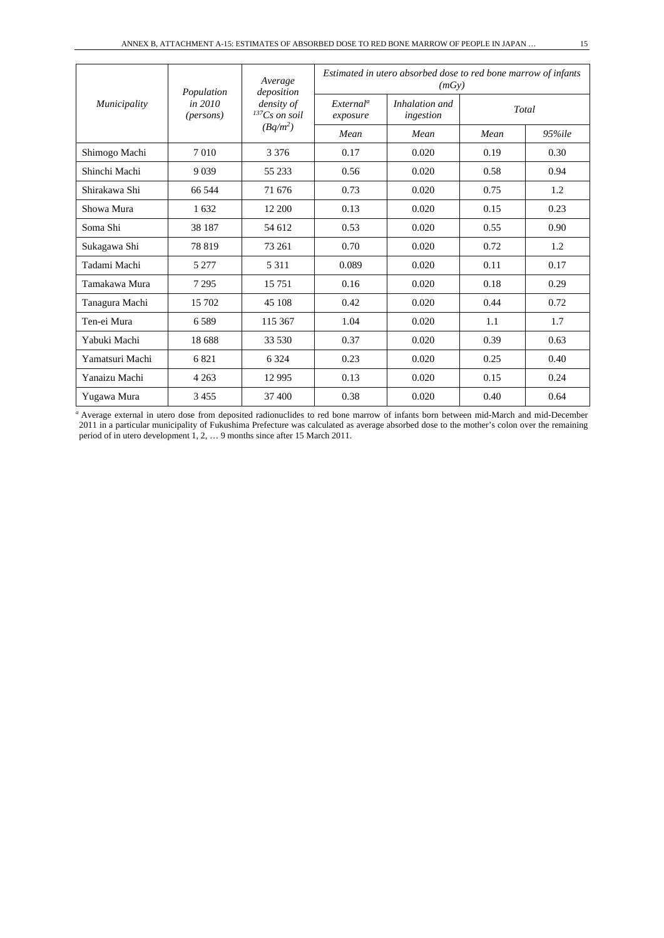| Municipality    | Population                    | Average<br>deposition            | Estimated in utero absorbed dose to red bone marrow of infants<br>(mGy) |                             |       |            |  |  |
|-----------------|-------------------------------|----------------------------------|-------------------------------------------------------------------------|-----------------------------|-------|------------|--|--|
|                 | in 2010<br>( <i>persons</i> ) | density of<br>$^{137}Cs$ on soil | External <sup>a</sup><br>exposure                                       | Inhalation and<br>ingestion | Total |            |  |  |
|                 |                               | $(Bq/m^2)$                       | Mean                                                                    | Mean                        | Mean  | $95\%$ ile |  |  |
| Shimogo Machi   | 7010                          | 3 3 7 6                          | 0.17                                                                    | 0.020                       | 0.19  | 0.30       |  |  |
| Shinchi Machi   | 9 0 3 9                       | 55 233                           | 0.56                                                                    | 0.020                       | 0.58  | 0.94       |  |  |
| Shirakawa Shi   | 66 544                        | 71 676                           | 0.73                                                                    | 0.020                       | 0.75  | 1.2        |  |  |
| Showa Mura      | 1632                          | 12 200                           | 0.13                                                                    | 0.020                       | 0.15  | 0.23       |  |  |
| Soma Shi        | 38 187                        | 54 612                           | 0.53                                                                    | 0.020                       | 0.55  | 0.90       |  |  |
| Sukagawa Shi    | 78819                         | 73 261                           | 0.70                                                                    | 0.020                       | 0.72  | 1.2        |  |  |
| Tadami Machi    | 5 2 7 7                       | 5 3 1 1                          | 0.089                                                                   | 0.020                       | 0.11  | 0.17       |  |  |
| Tamakawa Mura   | 7 2 9 5                       | 15 7 51                          | 0.16                                                                    | 0.020                       | 0.18  | 0.29       |  |  |
| Tanagura Machi  | 15 702                        | 45 108                           | 0.42                                                                    | 0.020                       | 0.44  | 0.72       |  |  |
| Ten-ei Mura     | 6589                          | 115 367                          | 1.04                                                                    | 0.020                       | 1.1   | 1.7        |  |  |
| Yabuki Machi    | 18 688                        | 33 530                           | 0.37                                                                    | 0.020                       | 0.39  | 0.63       |  |  |
| Yamatsuri Machi | 6821                          | 6 3 2 4                          | 0.23                                                                    | 0.020                       | 0.25  | 0.40       |  |  |
| Yanaizu Machi   | 4 2 6 3                       | 12 9 95                          | 0.13                                                                    | 0.020                       | 0.15  | 0.24       |  |  |
| Yugawa Mura     | 3455                          | 37 400                           | 0.38                                                                    | 0.020                       | 0.40  | 0.64       |  |  |

*<sup>a</sup>*Average external in utero dose from deposited radionuclides to red bone marrow of infants born between mid-March and mid-December 2011 in a particular municipality of Fukushima Prefecture was calculated as average absorbed dose to the mother's colon over the remaining period of in utero development 1, 2, … 9 months since after 15 March 2011.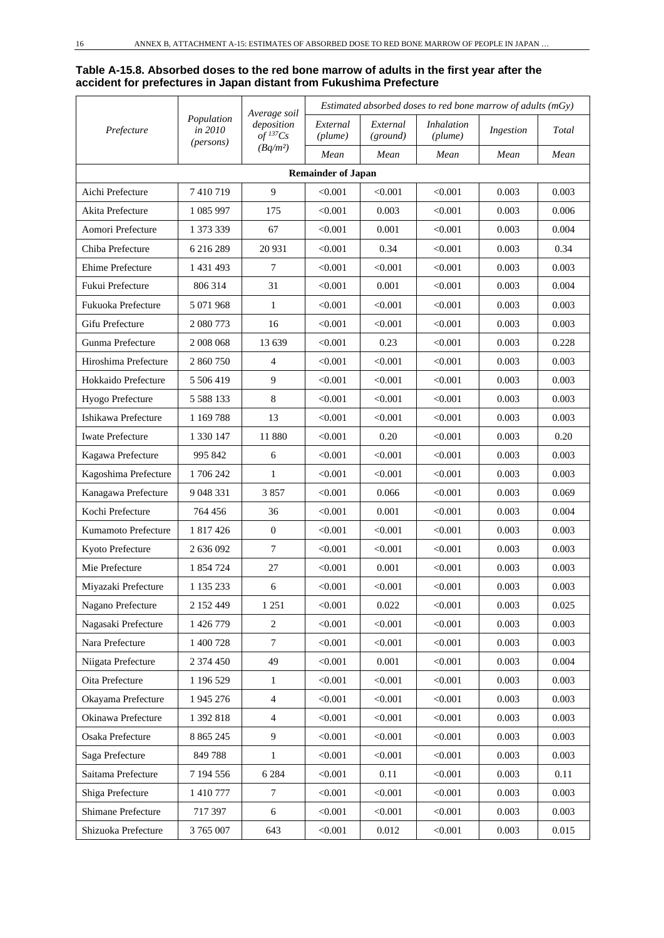#### **Table A-15.8. Absorbed doses to the red bone marrow of adults in the first year after the accident for prefectures in Japan distant from Fukushima Prefecture**

|                         |                                    | Average soil                         | Estimated absorbed doses to red bone marrow of adults ( $mGy$ ) |                      |                              |           |       |  |
|-------------------------|------------------------------------|--------------------------------------|-----------------------------------------------------------------|----------------------|------------------------------|-----------|-------|--|
| Prefecture              | Population<br>in 2010<br>(persons) | deposition<br>$of$ <sup>137</sup> Cs | External<br>(plume)                                             | External<br>(ground) | <i>Inhalation</i><br>(plume) | Ingestion | Total |  |
|                         |                                    | $(Bq/m^2)$                           | Mean                                                            | Mean                 | Mean                         | Mean      | Mean  |  |
|                         |                                    |                                      | <b>Remainder of Japan</b>                                       |                      |                              |           |       |  |
| Aichi Prefecture        | 7410719                            | 9                                    | < 0.001                                                         | < 0.001              | < 0.001                      | 0.003     | 0.003 |  |
| Akita Prefecture        | 1 085 997                          | 175                                  | < 0.001                                                         | 0.003                | < 0.001                      | 0.003     | 0.006 |  |
| Aomori Prefecture       | 1 373 339                          | 67                                   | < 0.001                                                         | 0.001                | < 0.001                      | 0.003     | 0.004 |  |
| Chiba Prefecture        | 6 216 289                          | 20 931                               | < 0.001                                                         | 0.34                 | < 0.001                      | 0.003     | 0.34  |  |
| Ehime Prefecture        | 1 431 493                          | 7                                    | < 0.001                                                         | < 0.001              | < 0.001                      | 0.003     | 0.003 |  |
| Fukui Prefecture        | 806 314                            | 31                                   | < 0.001                                                         | 0.001                | < 0.001                      | 0.003     | 0.004 |  |
| Fukuoka Prefecture      | 5 071 968                          | 1                                    | < 0.001                                                         | < 0.001              | < 0.001                      | 0.003     | 0.003 |  |
| Gifu Prefecture         | 2 080 773                          | 16                                   | < 0.001                                                         | < 0.001              | < 0.001                      | 0.003     | 0.003 |  |
| Gunma Prefecture        | 2 008 068                          | 13 639                               | < 0.001                                                         | 0.23                 | < 0.001                      | 0.003     | 0.228 |  |
| Hiroshima Prefecture    | 2 860 750                          | $\overline{4}$                       | < 0.001                                                         | < 0.001              | < 0.001                      | 0.003     | 0.003 |  |
| Hokkaido Prefecture     | 5 506 419                          | 9                                    | < 0.001                                                         | < 0.001              | < 0.001                      | 0.003     | 0.003 |  |
| Hyogo Prefecture        | 5 5 8 1 3 3                        | 8                                    | < 0.001                                                         | < 0.001              | < 0.001                      | 0.003     | 0.003 |  |
| Ishikawa Prefecture     | 1 169 788                          | 13                                   | < 0.001                                                         | < 0.001              | < 0.001                      | 0.003     | 0.003 |  |
| <b>Iwate Prefecture</b> | 1 330 147                          | 11 880                               | < 0.001                                                         | 0.20                 | < 0.001                      | 0.003     | 0.20  |  |
| Kagawa Prefecture       | 995 842                            | 6                                    | < 0.001                                                         | < 0.001              | < 0.001                      | 0.003     | 0.003 |  |
| Kagoshima Prefecture    | 1706242                            | $\mathbf{1}$                         | < 0.001                                                         | < 0.001              | < 0.001                      | 0.003     | 0.003 |  |
| Kanagawa Prefecture     | 9 048 331                          | 3857                                 | < 0.001                                                         | 0.066                | < 0.001                      | 0.003     | 0.069 |  |
| Kochi Prefecture        | 764 456                            | 36                                   | < 0.001                                                         | 0.001                | < 0.001                      | 0.003     | 0.004 |  |
| Kumamoto Prefecture     | 1 817 426                          | $\mathbf{0}$                         | < 0.001                                                         | < 0.001              | < 0.001                      | 0.003     | 0.003 |  |
| Kyoto Prefecture        | 2 636 092                          | $\overline{7}$                       | < 0.001                                                         | < 0.001              | < 0.001                      | 0.003     | 0.003 |  |
| Mie Prefecture          | 1 854 724                          | 27                                   | < 0.001                                                         | 0.001                | < 0.001                      | 0.003     | 0.003 |  |
| Miyazaki Prefecture     | 1 135 233                          | 6                                    | < 0.001                                                         | < 0.001              | < 0.001                      | 0.003     | 0.003 |  |
| Nagano Prefecture       | 2 152 449                          | 1 2 5 1                              | < 0.001                                                         | 0.022                | < 0.001                      | 0.003     | 0.025 |  |
| Nagasaki Prefecture     | 1 426 779                          | $\overline{c}$                       | < 0.001                                                         | < 0.001              | < 0.001                      | 0.003     | 0.003 |  |
| Nara Prefecture         | 1 400 728                          | $\overline{7}$                       | < 0.001                                                         | < 0.001              | < 0.001                      | 0.003     | 0.003 |  |
| Niigata Prefecture      | 2 374 450                          | 49                                   | < 0.001                                                         | 0.001                | < 0.001                      | 0.003     | 0.004 |  |
| Oita Prefecture         | 1 196 529                          | $\mathbf{1}$                         | < 0.001                                                         | < 0.001              | < 0.001                      | 0.003     | 0.003 |  |
| Okayama Prefecture      | 1 945 276                          | $\overline{4}$                       | < 0.001                                                         | < 0.001              | < 0.001                      | 0.003     | 0.003 |  |
| Okinawa Prefecture      | 1 392 818                          | $\overline{4}$                       | < 0.001                                                         | < 0.001              | < 0.001                      | 0.003     | 0.003 |  |
| Osaka Prefecture        | 8 8 6 5 2 4 5                      | 9                                    | < 0.001                                                         | < 0.001              | < 0.001                      | 0.003     | 0.003 |  |
| Saga Prefecture         | 849788                             | $\mathbf{1}$                         | < 0.001                                                         | < 0.001              | < 0.001                      | 0.003     | 0.003 |  |
| Saitama Prefecture      | 7 194 556                          | 6 2 8 4                              | < 0.001                                                         | 0.11                 | < 0.001                      | 0.003     | 0.11  |  |
| Shiga Prefecture        | 1 410 777                          | $\tau$                               | < 0.001                                                         | < 0.001              | < 0.001                      | 0.003     | 0.003 |  |
| Shimane Prefecture      | 717 397                            | 6                                    | < 0.001                                                         | < 0.001              | < 0.001                      | 0.003     | 0.003 |  |
| Shizuoka Prefecture     | 3 765 007                          | 643                                  | < 0.001                                                         | 0.012                | < 0.001                      | 0.003     | 0.015 |  |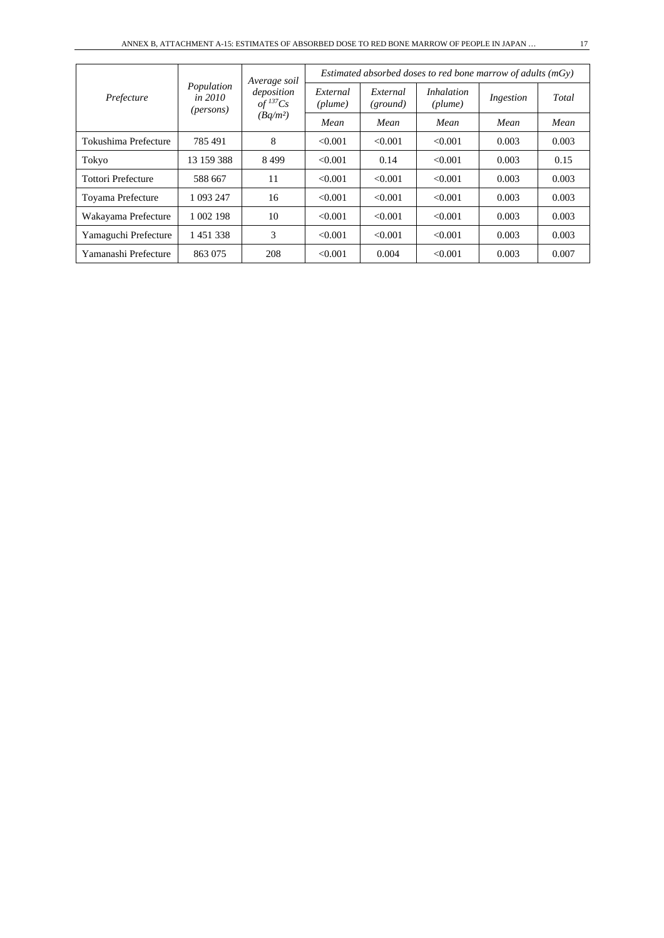| Prefecture                |                                                    | Average soil                                                 | Estimated absorbed doses to red bone marrow of adults $(mGv)$ |                      |                              |           |       |  |
|---------------------------|----------------------------------------------------|--------------------------------------------------------------|---------------------------------------------------------------|----------------------|------------------------------|-----------|-------|--|
|                           | Population<br><i>in 2010</i><br>( <i>persons</i> ) | deposition<br>$of$ <sup>137</sup> Cs<br>(Bq/m <sup>2</sup> ) | External<br>$(\textit{plume})$                                | External<br>(ground) | <i>Inhalation</i><br>(plume) | Ingestion | Total |  |
|                           |                                                    |                                                              | Mean                                                          | Mean                 | Mean                         | Mean      | Mean  |  |
| Tokushima Prefecture      | 785 491                                            | 8                                                            | < 0.001                                                       | < 0.001              | < 0.001                      | 0.003     | 0.003 |  |
| Tokyo                     | 13 159 388                                         | 8499                                                         | < 0.001                                                       | 0.14                 | < 0.001                      | 0.003     | 0.15  |  |
| <b>Tottori Prefecture</b> | 588 667                                            | 11                                                           | < 0.001                                                       | < 0.001              | < 0.001                      | 0.003     | 0.003 |  |
| Toyama Prefecture         | 1 093 247                                          | 16                                                           | < 0.001                                                       | < 0.001              | < 0.001                      | 0.003     | 0.003 |  |
| Wakayama Prefecture       | 1 002 198                                          | 10                                                           | < 0.001                                                       | < 0.001              | < 0.001                      | 0.003     | 0.003 |  |
| Yamaguchi Prefecture      | 1451338                                            | 3                                                            | < 0.001                                                       | < 0.001              | < 0.001                      | 0.003     | 0.003 |  |
| Yamanashi Prefecture      | 863 075                                            | 208                                                          | < 0.001                                                       | 0.004                | < 0.001                      | 0.003     | 0.007 |  |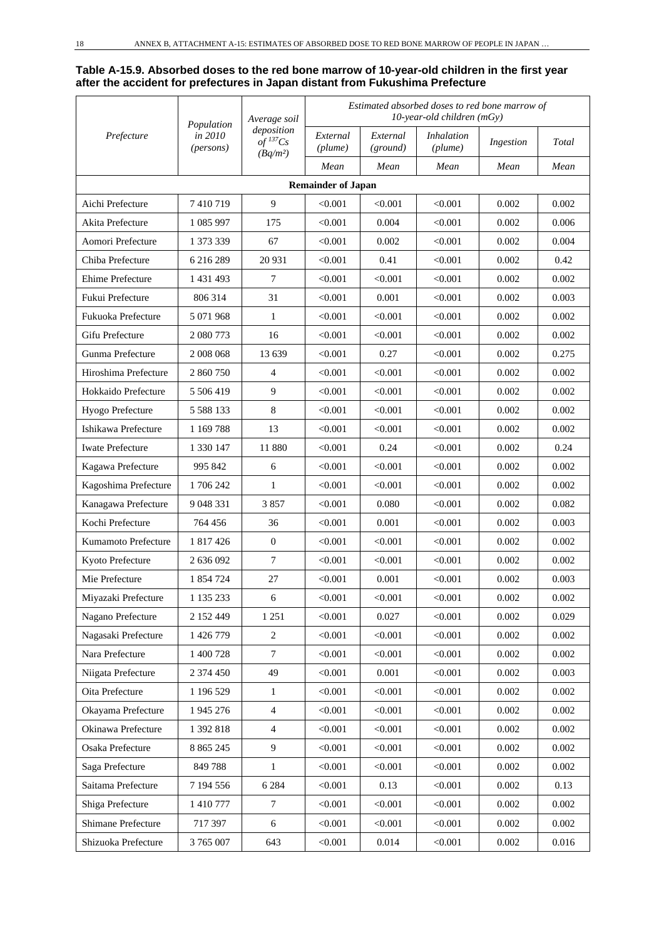#### **Table A-15.9. Absorbed doses to the red bone marrow of 10-year-old children in the first year after the accident for prefectures in Japan distant from Fukushima Prefecture**

|                         | Average soil<br>Population | Estimated absorbed doses to red bone marrow of<br>$10$ -year-old children (mGy) |                           |                      |                              |           |       |
|-------------------------|----------------------------|---------------------------------------------------------------------------------|---------------------------|----------------------|------------------------------|-----------|-------|
| Prefecture              | in 2010<br>(persons)       | deposition<br>$of$ <sup>137</sup> Cs<br>$(Bq/m^2)$                              | External<br>(plume)       | External<br>(ground) | <b>Inhalation</b><br>(plume) | Ingestion | Total |
|                         |                            |                                                                                 | Mean                      | Mean                 | Mean                         | Mean      | Mean  |
|                         |                            |                                                                                 | <b>Remainder of Japan</b> |                      |                              |           |       |
| Aichi Prefecture        | 7410719                    | 9                                                                               | < 0.001                   | < 0.001              | < 0.001                      | 0.002     | 0.002 |
| Akita Prefecture        | 1 085 997                  | 175                                                                             | < 0.001                   | 0.004                | < 0.001                      | 0.002     | 0.006 |
| Aomori Prefecture       | 1 373 339                  | 67                                                                              | < 0.001                   | 0.002                | < 0.001                      | 0.002     | 0.004 |
| Chiba Prefecture        | 6 216 289                  | 20 931                                                                          | < 0.001                   | 0.41                 | < 0.001                      | 0.002     | 0.42  |
| Ehime Prefecture        | 1 431 493                  | 7                                                                               | < 0.001                   | < 0.001              | < 0.001                      | 0.002     | 0.002 |
| Fukui Prefecture        | 806 314                    | 31                                                                              | < 0.001                   | 0.001                | < 0.001                      | 0.002     | 0.003 |
| Fukuoka Prefecture      | 5 071 968                  | $\mathbf{1}$                                                                    | < 0.001                   | < 0.001              | < 0.001                      | 0.002     | 0.002 |
| Gifu Prefecture         | 2 080 773                  | 16                                                                              | < 0.001                   | < 0.001              | < 0.001                      | 0.002     | 0.002 |
| Gunma Prefecture        | 2 008 068                  | 13 639                                                                          | < 0.001                   | 0.27                 | < 0.001                      | 0.002     | 0.275 |
| Hiroshima Prefecture    | 2 860 750                  | $\overline{4}$                                                                  | < 0.001                   | < 0.001              | < 0.001                      | 0.002     | 0.002 |
| Hokkaido Prefecture     | 5 506 419                  | 9                                                                               | < 0.001                   | < 0.001              | < 0.001                      | 0.002     | 0.002 |
| Hyogo Prefecture        | 5 5 8 8 1 3 3              | 8                                                                               | < 0.001                   | < 0.001              | < 0.001                      | 0.002     | 0.002 |
| Ishikawa Prefecture     | 1 1 69 7 88                | 13                                                                              | < 0.001                   | < 0.001              | < 0.001                      | 0.002     | 0.002 |
| <b>Iwate Prefecture</b> | 1 330 147                  | 11 880                                                                          | < 0.001                   | 0.24                 | < 0.001                      | 0.002     | 0.24  |
| Kagawa Prefecture       | 995 842                    | 6                                                                               | < 0.001                   | < 0.001              | < 0.001                      | 0.002     | 0.002 |
| Kagoshima Prefecture    | 1706242                    | $\mathbf{1}$                                                                    | < 0.001                   | < 0.001              | < 0.001                      | 0.002     | 0.002 |
| Kanagawa Prefecture     | 9 048 331                  | 3857                                                                            | < 0.001                   | 0.080                | < 0.001                      | 0.002     | 0.082 |
| Kochi Prefecture        | 764 456                    | 36                                                                              | < 0.001                   | 0.001                | < 0.001                      | 0.002     | 0.003 |
| Kumamoto Prefecture     | 1 817 426                  | $\overline{0}$                                                                  | < 0.001                   | < 0.001              | < 0.001                      | 0.002     | 0.002 |
| Kyoto Prefecture        | 2 636 092                  | $\tau$                                                                          | < 0.001                   | < 0.001              | < 0.001                      | 0.002     | 0.002 |
| Mie Prefecture          | 1 854 724                  | 27                                                                              | < 0.001                   | 0.001                | < 0.001                      | 0.002     | 0.003 |
| Miyazaki Prefecture     | 1 135 233                  | 6                                                                               | < 0.001                   | < 0.001              | < 0.001                      | 0.002     | 0.002 |
| Nagano Prefecture       | 2 152 449                  | 1 2 5 1                                                                         | < 0.001                   | 0.027                | < 0.001                      | 0.002     | 0.029 |
| Nagasaki Prefecture     | 1 426 779                  | $\sqrt{2}$                                                                      | < 0.001                   | < 0.001              | < 0.001                      | 0.002     | 0.002 |
| Nara Prefecture         | 1 400 728                  | $\overline{7}$                                                                  | < 0.001                   | < 0.001              | < 0.001                      | 0.002     | 0.002 |
| Niigata Prefecture      | 2 374 450                  | 49                                                                              | < 0.001                   | 0.001                | < 0.001                      | 0.002     | 0.003 |
| Oita Prefecture         | 1 196 529                  | 1                                                                               | < 0.001                   | < 0.001              | < 0.001                      | 0.002     | 0.002 |
| Okayama Prefecture      | 1 945 276                  | $\overline{4}$                                                                  | < 0.001                   | < 0.001              | < 0.001                      | 0.002     | 0.002 |
| Okinawa Prefecture      | 1 392 818                  | $\overline{4}$                                                                  | < 0.001                   | < 0.001              | < 0.001                      | 0.002     | 0.002 |
| Osaka Prefecture        | 8 8 6 5 2 4 5              | $\overline{9}$                                                                  | < 0.001                   | < 0.001              | < 0.001                      | 0.002     | 0.002 |
| Saga Prefecture         | 849788                     | $\mathbf{1}$                                                                    | < 0.001                   | < 0.001              | < 0.001                      | 0.002     | 0.002 |
| Saitama Prefecture      | 7 194 556                  | 6 2 8 4                                                                         | < 0.001                   | 0.13                 | < 0.001                      | 0.002     | 0.13  |
| Shiga Prefecture        | 1 410 777                  | $\tau$                                                                          | < 0.001                   | < 0.001              | < 0.001                      | 0.002     | 0.002 |
| Shimane Prefecture      | 717 397                    | $\sqrt{6}$                                                                      | < 0.001                   | < 0.001              | < 0.001                      | 0.002     | 0.002 |
| Shizuoka Prefecture     | 3 765 007                  | 643                                                                             | < 0.001                   | 0.014                | < 0.001                      | 0.002     | 0.016 |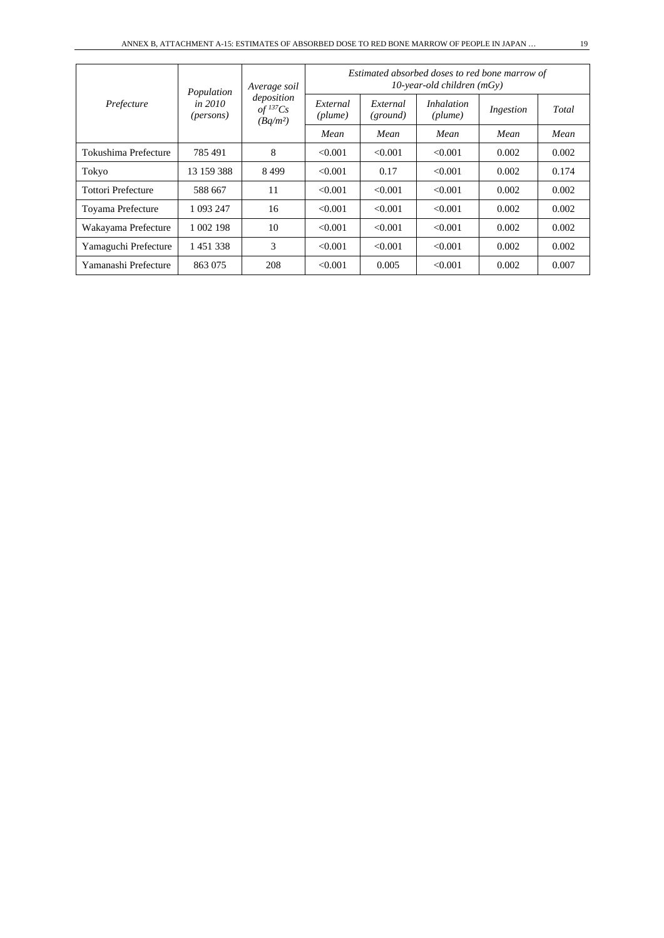| Prefecture                | Population<br><i>in 2010</i><br>( <i>persons</i> ) | Average soil                                         | Estimated absorbed doses to red bone marrow of<br>$10$ -year-old children (mGy) |                      |                              |           |       |  |
|---------------------------|----------------------------------------------------|------------------------------------------------------|---------------------------------------------------------------------------------|----------------------|------------------------------|-----------|-------|--|
|                           |                                                    | deposition<br>$of$ <sup>137</sup> $Cs$<br>$(Bq/m^2)$ | External<br>(plume)                                                             | External<br>(ground) | <i>Inhalation</i><br>(plume) | Ingestion | Total |  |
|                           |                                                    |                                                      | Mean                                                                            | Mean                 | Mean                         | Mean      | Mean  |  |
| Tokushima Prefecture      | 785 491                                            | 8                                                    | < 0.001                                                                         | < 0.001              | < 0.001                      | 0.002     | 0.002 |  |
| Tokyo                     | 13 159 388                                         | 8499                                                 | < 0.001                                                                         | 0.17                 | < 0.001                      | 0.002     | 0.174 |  |
| <b>Tottori Prefecture</b> | 588 667                                            | 11                                                   | < 0.001                                                                         | < 0.001              | < 0.001                      | 0.002     | 0.002 |  |
| Toyama Prefecture         | 1 093 247                                          | 16                                                   | < 0.001                                                                         | < 0.001              | < 0.001                      | 0.002     | 0.002 |  |
| Wakayama Prefecture       | 1 002 198                                          | 10                                                   | < 0.001                                                                         | < 0.001              | < 0.001                      | 0.002     | 0.002 |  |
| Yamaguchi Prefecture      | 1451338                                            | 3                                                    | < 0.001                                                                         | < 0.001              | < 0.001                      | 0.002     | 0.002 |  |
| Yamanashi Prefecture      | 863 075                                            | 208                                                  | < 0.001                                                                         | 0.005                | < 0.001                      | 0.002     | 0.007 |  |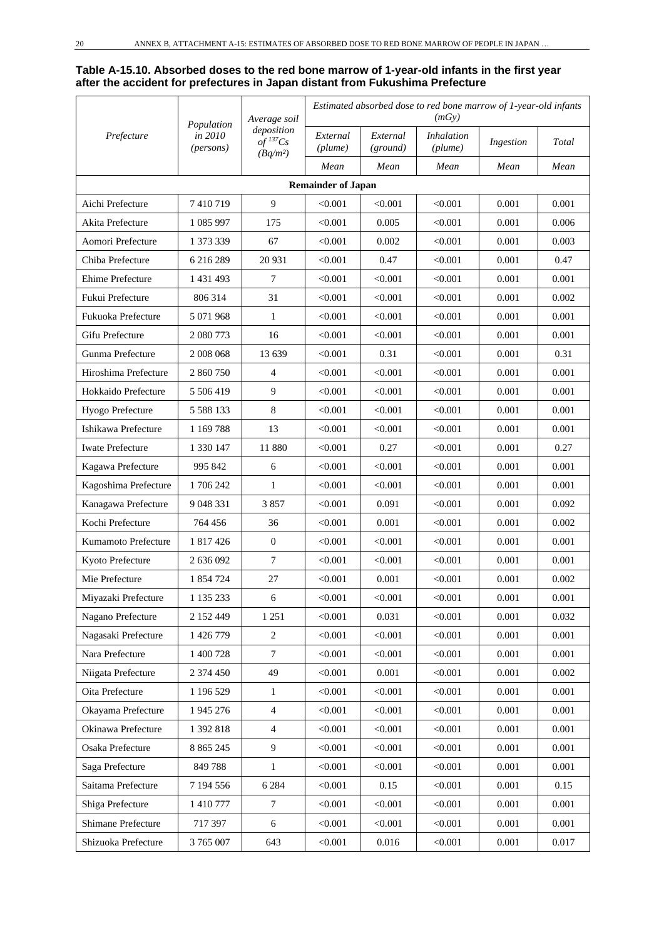#### **Table A-15.10. Absorbed doses to the red bone marrow of 1-year-old infants in the first year after the accident for prefectures in Japan distant from Fukushima Prefecture**

|                         |               | Average soil<br>Population<br>deposition<br>in 2010<br>$of$ <sup>137</sup> Cs<br>(persons)<br>$(Bq/m^2)$ | Estimated absorbed dose to red bone marrow of 1-year-old infants<br>(mGy) |                      |                              |           |       |  |
|-------------------------|---------------|----------------------------------------------------------------------------------------------------------|---------------------------------------------------------------------------|----------------------|------------------------------|-----------|-------|--|
| Prefecture              |               |                                                                                                          | External<br>(plume)                                                       | External<br>(ground) | <b>Inhalation</b><br>(plume) | Ingestion | Total |  |
|                         |               |                                                                                                          | Mean                                                                      | Mean                 | Mean                         | Mean      | Mean  |  |
|                         |               |                                                                                                          | <b>Remainder of Japan</b>                                                 |                      |                              |           |       |  |
| Aichi Prefecture        | 7410719       | 9                                                                                                        | < 0.001                                                                   | < 0.001              | < 0.001                      | 0.001     | 0.001 |  |
| Akita Prefecture        | 1 085 997     | 175                                                                                                      | < 0.001                                                                   | 0.005                | < 0.001                      | 0.001     | 0.006 |  |
| Aomori Prefecture       | 1 373 339     | 67                                                                                                       | < 0.001                                                                   | 0.002                | < 0.001                      | 0.001     | 0.003 |  |
| Chiba Prefecture        | 6 216 289     | 20 931                                                                                                   | < 0.001                                                                   | 0.47                 | < 0.001                      | 0.001     | 0.47  |  |
| Ehime Prefecture        | 1 431 493     | 7                                                                                                        | < 0.001                                                                   | < 0.001              | < 0.001                      | 0.001     | 0.001 |  |
| Fukui Prefecture        | 806 314       | 31                                                                                                       | < 0.001                                                                   | < 0.001              | < 0.001                      | 0.001     | 0.002 |  |
| Fukuoka Prefecture      | 5 071 968     | 1                                                                                                        | < 0.001                                                                   | < 0.001              | < 0.001                      | 0.001     | 0.001 |  |
| Gifu Prefecture         | 2 080 773     | 16                                                                                                       | < 0.001                                                                   | < 0.001              | < 0.001                      | 0.001     | 0.001 |  |
| Gunma Prefecture        | 2 008 068     | 13 639                                                                                                   | < 0.001                                                                   | 0.31                 | < 0.001                      | 0.001     | 0.31  |  |
| Hiroshima Prefecture    | 2 860 750     | 4                                                                                                        | < 0.001                                                                   | < 0.001              | < 0.001                      | 0.001     | 0.001 |  |
| Hokkaido Prefecture     | 5 506 419     | 9                                                                                                        | < 0.001                                                                   | < 0.001              | < 0.001                      | 0.001     | 0.001 |  |
| Hyogo Prefecture        | 5 5 8 1 3 3   | 8                                                                                                        | < 0.001                                                                   | < 0.001              | < 0.001                      | 0.001     | 0.001 |  |
| Ishikawa Prefecture     | 1 1 69 7 88   | 13                                                                                                       | < 0.001                                                                   | < 0.001              | < 0.001                      | 0.001     | 0.001 |  |
| <b>Iwate Prefecture</b> | 1 330 147     | 11 880                                                                                                   | < 0.001                                                                   | 0.27                 | < 0.001                      | 0.001     | 0.27  |  |
| Kagawa Prefecture       | 995 842       | 6                                                                                                        | < 0.001                                                                   | < 0.001              | < 0.001                      | 0.001     | 0.001 |  |
| Kagoshima Prefecture    | 1706242       | $\mathbf{1}$                                                                                             | < 0.001                                                                   | < 0.001              | < 0.001                      | 0.001     | 0.001 |  |
| Kanagawa Prefecture     | 9 048 331     | 3857                                                                                                     | < 0.001                                                                   | 0.091                | < 0.001                      | 0.001     | 0.092 |  |
| Kochi Prefecture        | 764 456       | 36                                                                                                       | < 0.001                                                                   | 0.001                | < 0.001                      | 0.001     | 0.002 |  |
| Kumamoto Prefecture     | 1 817 426     | $\mathbf{0}$                                                                                             | < 0.001                                                                   | < 0.001              | < 0.001                      | 0.001     | 0.001 |  |
| Kyoto Prefecture        | 2 636 092     | $\tau$                                                                                                   | < 0.001                                                                   | < 0.001              | < 0.001                      | 0.001     | 0.001 |  |
| Mie Prefecture          | 1 854 724     | 27                                                                                                       | < 0.001                                                                   | 0.001                | < 0.001                      | 0.001     | 0.002 |  |
| Miyazaki Prefecture     | 1 135 233     | 6                                                                                                        | < 0.001                                                                   | < 0.001              | < 0.001                      | 0.001     | 0.001 |  |
| Nagano Prefecture       | 2 152 449     | 1 2 5 1                                                                                                  | < 0.001                                                                   | 0.031                | < 0.001                      | 0.001     | 0.032 |  |
| Nagasaki Prefecture     | 1 426 779     | $\sqrt{2}$                                                                                               | < 0.001                                                                   | < 0.001              | < 0.001                      | 0.001     | 0.001 |  |
| Nara Prefecture         | 1 400 728     | $\boldsymbol{7}$                                                                                         | < 0.001                                                                   | < 0.001              | < 0.001                      | 0.001     | 0.001 |  |
| Niigata Prefecture      | 2 374 450     | 49                                                                                                       | < 0.001                                                                   | 0.001                | < 0.001                      | 0.001     | 0.002 |  |
| Oita Prefecture         | 1 196 529     | 1                                                                                                        | < 0.001                                                                   | < 0.001              | < 0.001                      | 0.001     | 0.001 |  |
| Okayama Prefecture      | 1 945 276     | $\overline{4}$                                                                                           | < 0.001                                                                   | < 0.001              | < 0.001                      | 0.001     | 0.001 |  |
| Okinawa Prefecture      | 1 392 818     | $\overline{4}$                                                                                           | < 0.001                                                                   | < 0.001              | < 0.001                      | 0.001     | 0.001 |  |
| Osaka Prefecture        | 8 8 6 5 2 4 5 | $\overline{9}$                                                                                           | < 0.001                                                                   | < 0.001              | < 0.001                      | 0.001     | 0.001 |  |
| Saga Prefecture         | 849788        | $\mathbf{1}$                                                                                             | < 0.001                                                                   | < 0.001              | < 0.001                      | 0.001     | 0.001 |  |
| Saitama Prefecture      | 7 194 556     | 6 2 8 4                                                                                                  | < 0.001                                                                   | 0.15                 | < 0.001                      | 0.001     | 0.15  |  |
| Shiga Prefecture        | 1 410 777     | $\tau$                                                                                                   | < 0.001                                                                   | < 0.001              | < 0.001                      | 0.001     | 0.001 |  |
| Shimane Prefecture      | 717 397       | $\sqrt{6}$                                                                                               | < 0.001                                                                   | < 0.001              | < 0.001                      | 0.001     | 0.001 |  |
| Shizuoka Prefecture     | 3 765 007     | 643                                                                                                      | < 0.001                                                                   | 0.016                | < 0.001                      | 0.001     | 0.017 |  |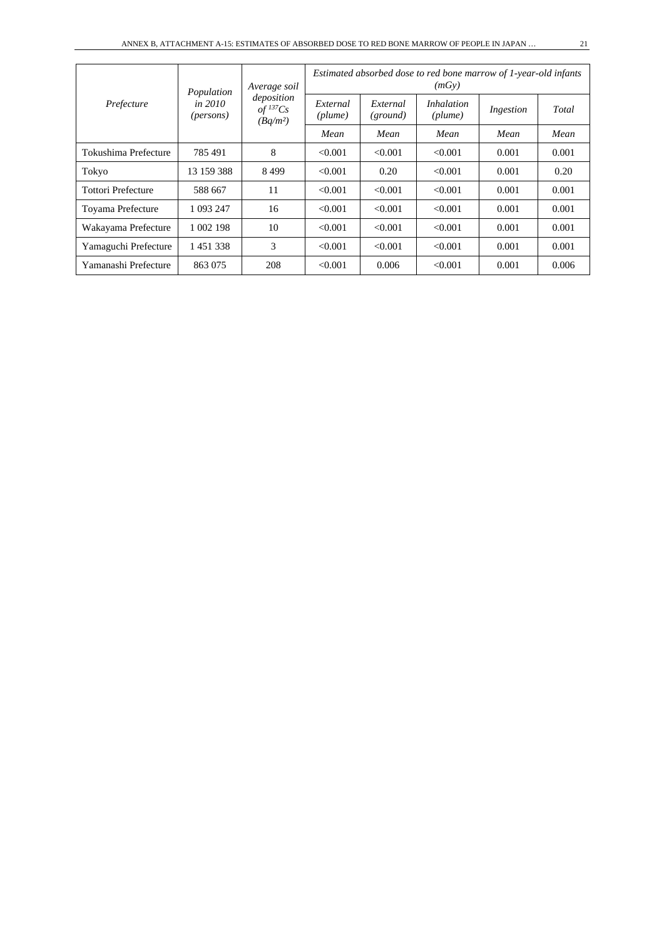| Prefecture                | Population                           | Average soil                                         | Estimated absorbed dose to red bone marrow of 1-year-old infants<br>(mGv) |                      |                              |           |       |  |
|---------------------------|--------------------------------------|------------------------------------------------------|---------------------------------------------------------------------------|----------------------|------------------------------|-----------|-------|--|
|                           | <i>in 2010</i><br>( <i>persons</i> ) | deposition<br>$of$ <sup>137</sup> $Cs$<br>$(Bq/m^2)$ | External<br>(plume)                                                       | External<br>(ground) | <i>Inhalation</i><br>(plume) | Ingestion | Total |  |
|                           |                                      |                                                      | Mean                                                                      | Mean                 | Mean                         | Mean      | Mean  |  |
| Tokushima Prefecture      | 785 491                              | 8                                                    | < 0.001                                                                   | < 0.001              | < 0.001                      | 0.001     | 0.001 |  |
| Tokyo                     | 13 159 388                           | 8499                                                 | < 0.001                                                                   | 0.20                 | < 0.001                      | 0.001     | 0.20  |  |
| <b>Tottori Prefecture</b> | 588 667                              | 11                                                   | < 0.001                                                                   | < 0.001              | < 0.001                      | 0.001     | 0.001 |  |
| Toyama Prefecture         | 1 093 247                            | 16                                                   | < 0.001                                                                   | < 0.001              | < 0.001                      | 0.001     | 0.001 |  |
| Wakayama Prefecture       | 1 002 198                            | 10                                                   | < 0.001                                                                   | < 0.001              | < 0.001                      | 0.001     | 0.001 |  |
| Yamaguchi Prefecture      | 1451338                              | 3                                                    | < 0.001                                                                   | < 0.001              | < 0.001                      | 0.001     | 0.001 |  |
| Yamanashi Prefecture      | 863 075                              | 208                                                  | < 0.001                                                                   | 0.006                | < 0.001                      | 0.001     | 0.006 |  |